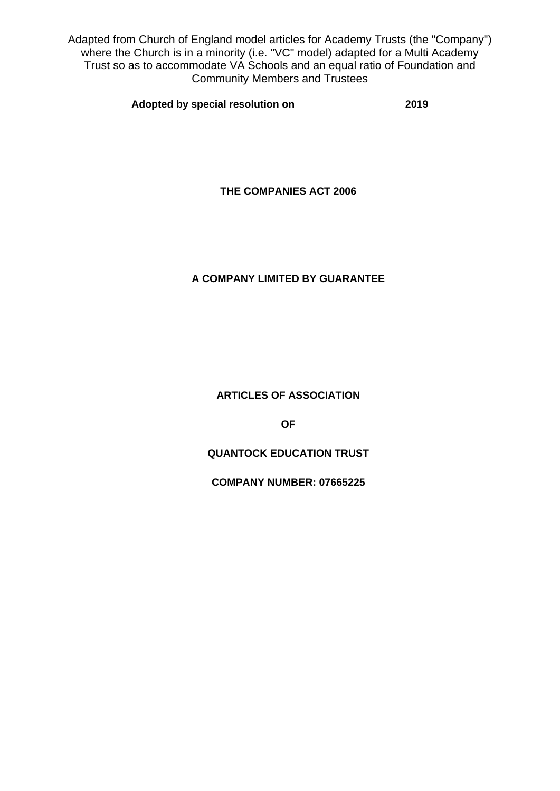Adapted from Church of England model articles for Academy Trusts (the "Company") where the Church is in a minority (i.e. "VC" model) adapted for a Multi Academy Trust so as to accommodate VA Schools and an equal ratio of Foundation and Community Members and Trustees

**Adopted by special resolution on 2019**

**THE COMPANIES ACT 2006**

# **A COMPANY LIMITED BY GUARANTEE**

**ARTICLES OF ASSOCIATION**

**OF**

**QUANTOCK EDUCATION TRUST**

**COMPANY NUMBER: 07665225**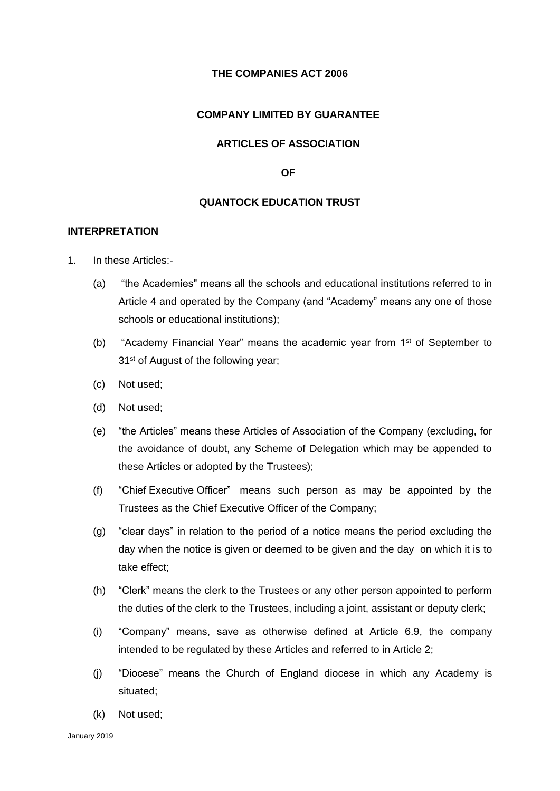## **THE COMPANIES ACT 2006**

## **COMPANY LIMITED BY GUARANTEE**

# **ARTICLES OF ASSOCIATION**

#### **OF**

# **QUANTOCK EDUCATION TRUST**

# **INTERPRETATION**

- 1. In these Articles:-
	- (a) "the Academies" means all the schools and educational institutions referred to in Article 4 and operated by the Company (and "Academy" means any one of those schools or educational institutions);
	- (b) "Academy Financial Year" means the academic year from  $1<sup>st</sup>$  of September to 31<sup>st</sup> of August of the following year;
	- (c) Not used;
	- (d) Not used;
	- (e) "the Articles" means these Articles of Association of the Company (excluding, for the avoidance of doubt, any Scheme of Delegation which may be appended to these Articles or adopted by the Trustees);
	- (f) "Chief Executive Officer" means such person as may be appointed by the Trustees as the Chief Executive Officer of the Company;
	- (g) "clear days" in relation to the period of a notice means the period excluding the day when the notice is given or deemed to be given and the day on which it is to take effect;
	- (h) "Clerk" means the clerk to the Trustees or any other person appointed to perform the duties of the clerk to the Trustees, including a joint, assistant or deputy clerk;
	- (i) "Company" means, save as otherwise defined at Article 6.9, the company intended to be regulated by these Articles and referred to in Article 2;
	- (j) "Diocese" means the Church of England diocese in which any Academy is situated;
	- (k) Not used;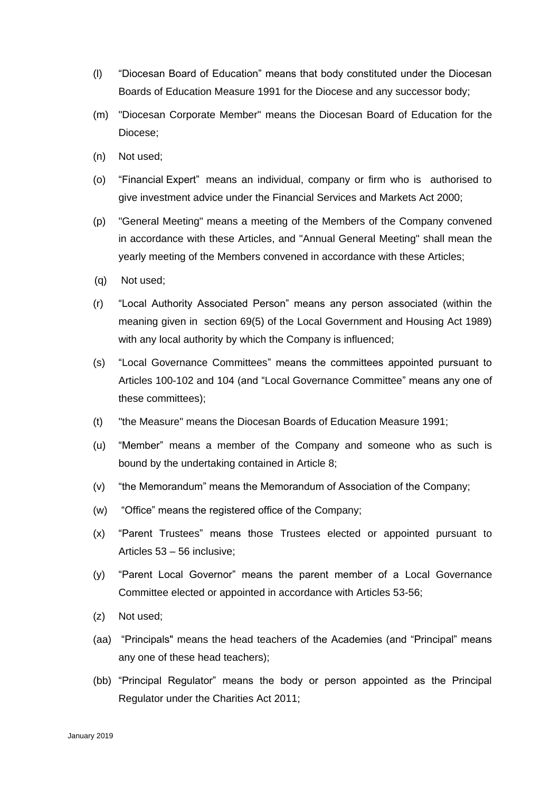- (l) "Diocesan Board of Education" means that body constituted under the Diocesan Boards of Education Measure 1991 for the Diocese and any successor body;
- (m) "Diocesan Corporate Member" means the Diocesan Board of Education for the Diocese;
- (n) Not used;
- (o) "Financial Expert" means an individual, company or firm who is authorised to give investment advice under the Financial Services and Markets Act 2000;
- (p) "General Meeting" means a meeting of the Members of the Company convened in accordance with these Articles, and "Annual General Meeting" shall mean the yearly meeting of the Members convened in accordance with these Articles;
- (q) Not used;
- (r) "Local Authority Associated Person" means any person associated (within the meaning given in section 69(5) of the Local Government and Housing Act 1989) with any local authority by which the Company is influenced;
- (s) "Local Governance Committees" means the committees appointed pursuant to Articles 100-102 and 104 (and "Local Governance Committee" means any one of these committees);
- (t) "the Measure" means the Diocesan Boards of Education Measure 1991;
- (u) "Member" means a member of the Company and someone who as such is bound by the undertaking contained in Article 8;
- (v) "the Memorandum" means the Memorandum of Association of the Company;
- (w) "Office" means the registered office of the Company;
- (x) "Parent Trustees" means those Trustees elected or appointed pursuant to Articles 53 – 56 inclusive;
- (y) "Parent Local Governor" means the parent member of a Local Governance Committee elected or appointed in accordance with Articles 53-56;
- (z) Not used;
- (aa) "Principals" means the head teachers of the Academies (and "Principal" means any one of these head teachers);
- (bb) "Principal Regulator" means the body or person appointed as the Principal Regulator under the Charities Act 2011;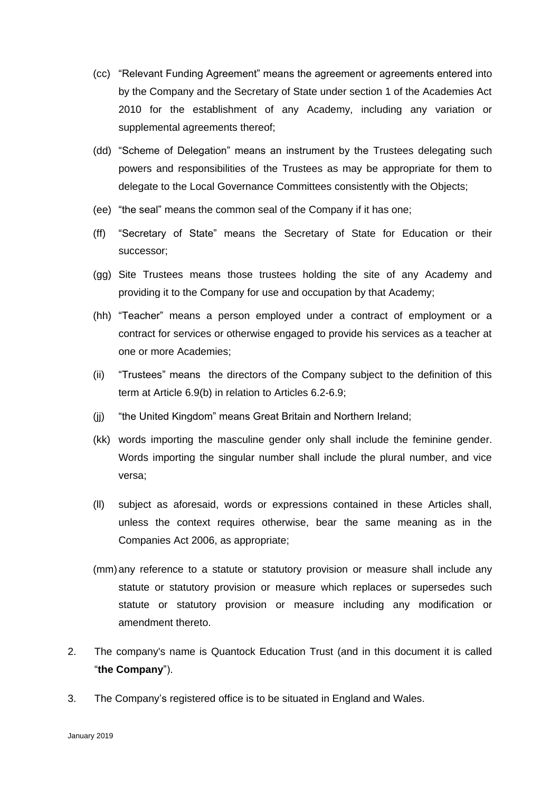- (cc) "Relevant Funding Agreement" means the agreement or agreements entered into by the Company and the Secretary of State under section 1 of the Academies Act 2010 for the establishment of any Academy, including any variation or supplemental agreements thereof;
- (dd) "Scheme of Delegation" means an instrument by the Trustees delegating such powers and responsibilities of the Trustees as may be appropriate for them to delegate to the Local Governance Committees consistently with the Objects;
- (ee) "the seal" means the common seal of the Company if it has one;
- (ff) "Secretary of State" means the Secretary of State for Education or their successor;
- (gg) Site Trustees means those trustees holding the site of any Academy and providing it to the Company for use and occupation by that Academy;
- (hh) "Teacher" means a person employed under a contract of employment or a contract for services or otherwise engaged to provide his services as a teacher at one or more Academies;
- (ii) "Trustees" means the directors of the Company subject to the definition of this term at Article 6.9(b) in relation to Articles 6.2-6.9;
- (jj) "the United Kingdom" means Great Britain and Northern Ireland;
- (kk) words importing the masculine gender only shall include the feminine gender. Words importing the singular number shall include the plural number, and vice versa;
- (ll) subject as aforesaid, words or expressions contained in these Articles shall, unless the context requires otherwise, bear the same meaning as in the Companies Act 2006, as appropriate;
- (mm)any reference to a statute or statutory provision or measure shall include any statute or statutory provision or measure which replaces or supersedes such statute or statutory provision or measure including any modification or amendment thereto.
- 2. The company's name is Quantock Education Trust (and in this document it is called "**the Company**").
- 3. The Company's registered office is to be situated in England and Wales.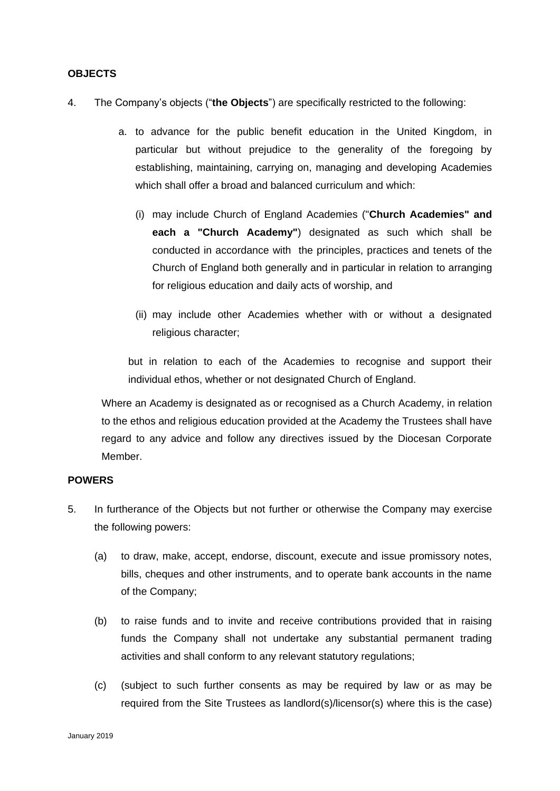### **OBJECTS**

- 4. The Company's objects ("**the Objects**") are specifically restricted to the following:
	- a. to advance for the public benefit education in the United Kingdom, in particular but without prejudice to the generality of the foregoing by establishing, maintaining, carrying on, managing and developing Academies which shall offer a broad and balanced curriculum and which:
		- (i) may include Church of England Academies ("**Church Academies" and each a "Church Academy"**) designated as such which shall be conducted in accordance with the principles, practices and tenets of the Church of England both generally and in particular in relation to arranging for religious education and daily acts of worship, and
		- (ii) may include other Academies whether with or without a designated religious character;

but in relation to each of the Academies to recognise and support their individual ethos, whether or not designated Church of England.

Where an Academy is designated as or recognised as a Church Academy, in relation to the ethos and religious education provided at the Academy the Trustees shall have regard to any advice and follow any directives issued by the Diocesan Corporate Member.

# **POWERS**

- 5. In furtherance of the Objects but not further or otherwise the Company may exercise the following powers:
	- (a) to draw, make, accept, endorse, discount, execute and issue promissory notes, bills, cheques and other instruments, and to operate bank accounts in the name of the Company;
	- (b) to raise funds and to invite and receive contributions provided that in raising funds the Company shall not undertake any substantial permanent trading activities and shall conform to any relevant statutory regulations;
	- (c) (subject to such further consents as may be required by law or as may be required from the Site Trustees as landlord(s)/licensor(s) where this is the case)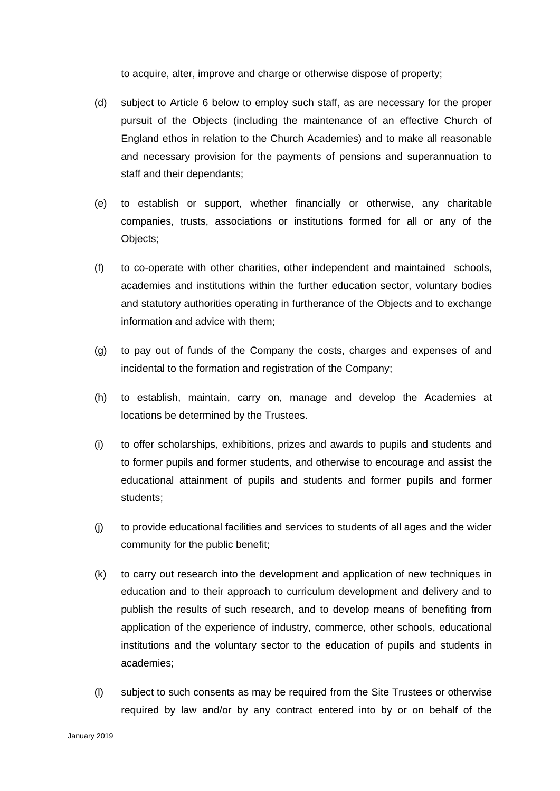to acquire, alter, improve and charge or otherwise dispose of property;

- (d) subject to Article 6 below to employ such staff, as are necessary for the proper pursuit of the Objects (including the maintenance of an effective Church of England ethos in relation to the Church Academies) and to make all reasonable and necessary provision for the payments of pensions and superannuation to staff and their dependants;
- (e) to establish or support, whether financially or otherwise, any charitable companies, trusts, associations or institutions formed for all or any of the Objects;
- (f) to co-operate with other charities, other independent and maintained schools, academies and institutions within the further education sector, voluntary bodies and statutory authorities operating in furtherance of the Objects and to exchange information and advice with them;
- (g) to pay out of funds of the Company the costs, charges and expenses of and incidental to the formation and registration of the Company;
- (h) to establish, maintain, carry on, manage and develop the Academies at locations be determined by the Trustees.
- (i) to offer scholarships, exhibitions, prizes and awards to pupils and students and to former pupils and former students, and otherwise to encourage and assist the educational attainment of pupils and students and former pupils and former students;
- (j) to provide educational facilities and services to students of all ages and the wider community for the public benefit;
- (k) to carry out research into the development and application of new techniques in education and to their approach to curriculum development and delivery and to publish the results of such research, and to develop means of benefiting from application of the experience of industry, commerce, other schools, educational institutions and the voluntary sector to the education of pupils and students in academies;
- (l) subject to such consents as may be required from the Site Trustees or otherwise required by law and/or by any contract entered into by or on behalf of the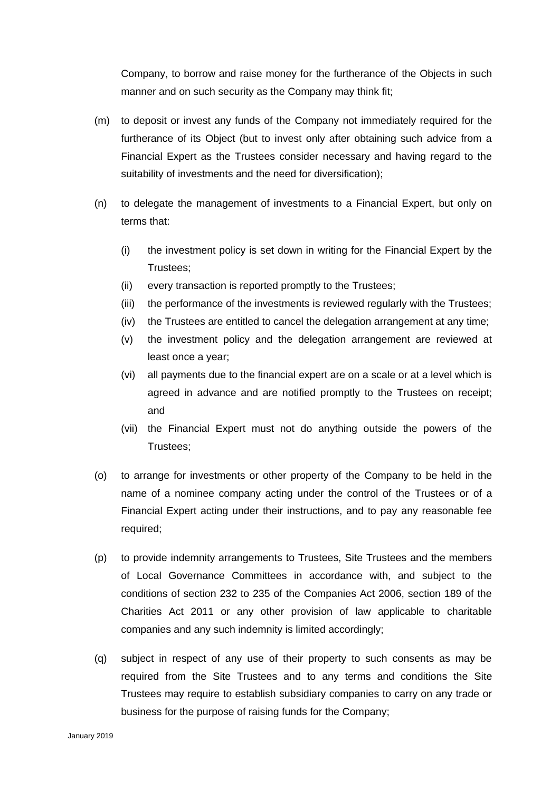Company, to borrow and raise money for the furtherance of the Objects in such manner and on such security as the Company may think fit;

- (m) to deposit or invest any funds of the Company not immediately required for the furtherance of its Object (but to invest only after obtaining such advice from a Financial Expert as the Trustees consider necessary and having regard to the suitability of investments and the need for diversification);
- (n) to delegate the management of investments to a Financial Expert, but only on terms that:
	- (i) the investment policy is set down in writing for the Financial Expert by the Trustees;
	- (ii) every transaction is reported promptly to the Trustees;
	- (iii) the performance of the investments is reviewed regularly with the Trustees;
	- (iv) the Trustees are entitled to cancel the delegation arrangement at any time;
	- (v) the investment policy and the delegation arrangement are reviewed at least once a year;
	- (vi) all payments due to the financial expert are on a scale or at a level which is agreed in advance and are notified promptly to the Trustees on receipt; and
	- (vii) the Financial Expert must not do anything outside the powers of the Trustees;
- (o) to arrange for investments or other property of the Company to be held in the name of a nominee company acting under the control of the Trustees or of a Financial Expert acting under their instructions, and to pay any reasonable fee required;
- (p) to provide indemnity arrangements to Trustees, Site Trustees and the members of Local Governance Committees in accordance with, and subject to the conditions of section 232 to 235 of the Companies Act 2006, section 189 of the Charities Act 2011 or any other provision of law applicable to charitable companies and any such indemnity is limited accordingly;
- (q) subject in respect of any use of their property to such consents as may be required from the Site Trustees and to any terms and conditions the Site Trustees may require to establish subsidiary companies to carry on any trade or business for the purpose of raising funds for the Company;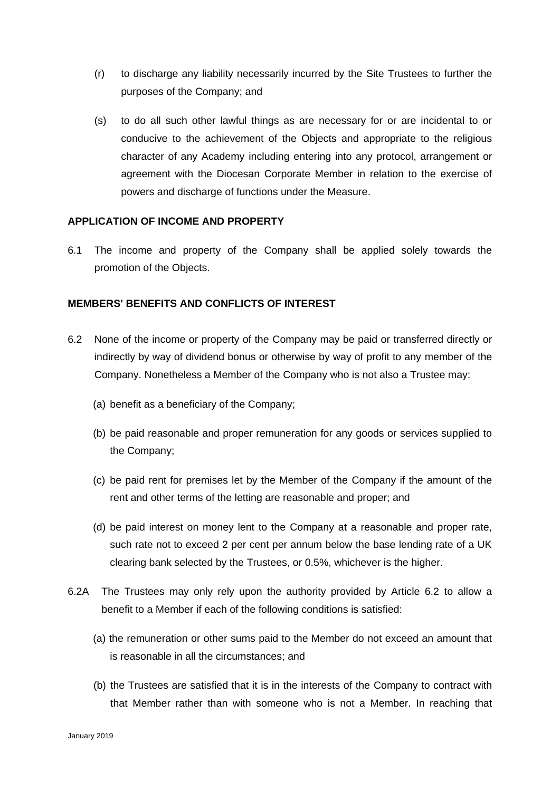- (r) to discharge any liability necessarily incurred by the Site Trustees to further the purposes of the Company; and
- (s) to do all such other lawful things as are necessary for or are incidental to or conducive to the achievement of the Objects and appropriate to the religious character of any Academy including entering into any protocol, arrangement or agreement with the Diocesan Corporate Member in relation to the exercise of powers and discharge of functions under the Measure.

## **APPLICATION OF INCOME AND PROPERTY**

6.1 The income and property of the Company shall be applied solely towards the promotion of the Objects.

# **MEMBERS' BENEFITS AND CONFLICTS OF INTEREST**

- 6.2 None of the income or property of the Company may be paid or transferred directly or indirectly by way of dividend bonus or otherwise by way of profit to any member of the Company. Nonetheless a Member of the Company who is not also a Trustee may:
	- (a) benefit as a beneficiary of the Company;
	- (b) be paid reasonable and proper remuneration for any goods or services supplied to the Company;
	- (c) be paid rent for premises let by the Member of the Company if the amount of the rent and other terms of the letting are reasonable and proper; and
	- (d) be paid interest on money lent to the Company at a reasonable and proper rate, such rate not to exceed 2 per cent per annum below the base lending rate of a UK clearing bank selected by the Trustees, or 0.5%, whichever is the higher.
- 6.2A The Trustees may only rely upon the authority provided by Article 6.2 to allow a benefit to a Member if each of the following conditions is satisfied:
	- (a) the remuneration or other sums paid to the Member do not exceed an amount that is reasonable in all the circumstances; and
	- (b) the Trustees are satisfied that it is in the interests of the Company to contract with that Member rather than with someone who is not a Member. In reaching that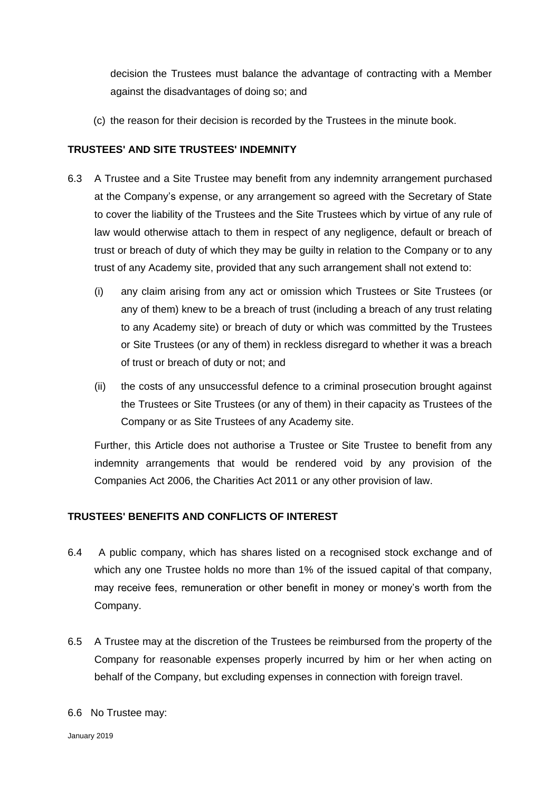decision the Trustees must balance the advantage of contracting with a Member against the disadvantages of doing so; and

(c) the reason for their decision is recorded by the Trustees in the minute book.

# **TRUSTEES' AND SITE TRUSTEES' INDEMNITY**

- 6.3 A Trustee and a Site Trustee may benefit from any indemnity arrangement purchased at the Company's expense, or any arrangement so agreed with the Secretary of State to cover the liability of the Trustees and the Site Trustees which by virtue of any rule of law would otherwise attach to them in respect of any negligence, default or breach of trust or breach of duty of which they may be guilty in relation to the Company or to any trust of any Academy site, provided that any such arrangement shall not extend to:
	- (i) any claim arising from any act or omission which Trustees or Site Trustees (or any of them) knew to be a breach of trust (including a breach of any trust relating to any Academy site) or breach of duty or which was committed by the Trustees or Site Trustees (or any of them) in reckless disregard to whether it was a breach of trust or breach of duty or not; and
	- (ii) the costs of any unsuccessful defence to a criminal prosecution brought against the Trustees or Site Trustees (or any of them) in their capacity as Trustees of the Company or as Site Trustees of any Academy site.

Further, this Article does not authorise a Trustee or Site Trustee to benefit from any indemnity arrangements that would be rendered void by any provision of the Companies Act 2006, the Charities Act 2011 or any other provision of law.

# **TRUSTEES' BENEFITS AND CONFLICTS OF INTEREST**

- 6.4 A public company, which has shares listed on a recognised stock exchange and of which any one Trustee holds no more than 1% of the issued capital of that company, may receive fees, remuneration or other benefit in money or money's worth from the Company.
- 6.5 A Trustee may at the discretion of the Trustees be reimbursed from the property of the Company for reasonable expenses properly incurred by him or her when acting on behalf of the Company, but excluding expenses in connection with foreign travel.
- 6.6 No Trustee may: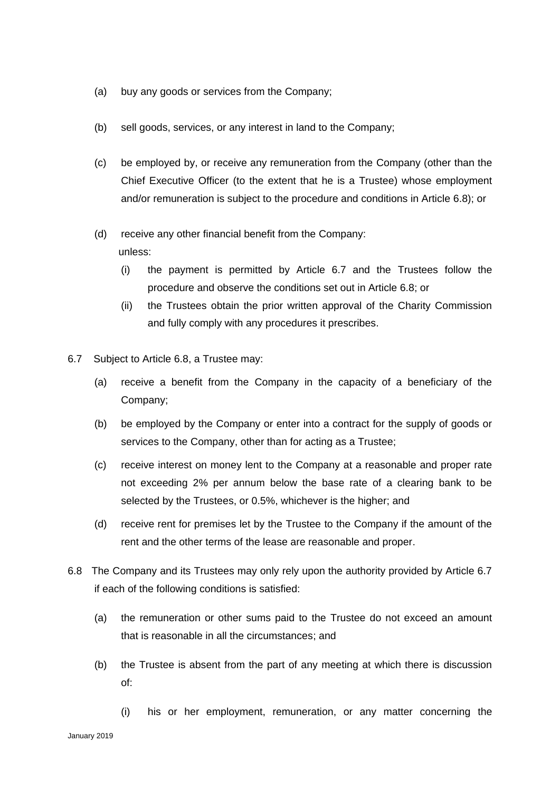- (a) buy any goods or services from the Company;
- (b) sell goods, services, or any interest in land to the Company;
- (c) be employed by, or receive any remuneration from the Company (other than the Chief Executive Officer (to the extent that he is a Trustee) whose employment and/or remuneration is subject to the procedure and conditions in Article 6.8); or
- (d) receive any other financial benefit from the Company: unless:
	- (i) the payment is permitted by Article 6.7 and the Trustees follow the procedure and observe the conditions set out in Article 6.8; or
	- (ii) the Trustees obtain the prior written approval of the Charity Commission and fully comply with any procedures it prescribes.
- 6.7 Subject to Article 6.8, a Trustee may:
	- (a) receive a benefit from the Company in the capacity of a beneficiary of the Company;
	- (b) be employed by the Company or enter into a contract for the supply of goods or services to the Company, other than for acting as a Trustee;
	- (c) receive interest on money lent to the Company at a reasonable and proper rate not exceeding 2% per annum below the base rate of a clearing bank to be selected by the Trustees, or 0.5%, whichever is the higher; and
	- (d) receive rent for premises let by the Trustee to the Company if the amount of the rent and the other terms of the lease are reasonable and proper.
- 6.8 The Company and its Trustees may only rely upon the authority provided by Article 6.7 if each of the following conditions is satisfied:
	- (a) the remuneration or other sums paid to the Trustee do not exceed an amount that is reasonable in all the circumstances; and
	- (b) the Trustee is absent from the part of any meeting at which there is discussion of:
		- (i) his or her employment, remuneration, or any matter concerning the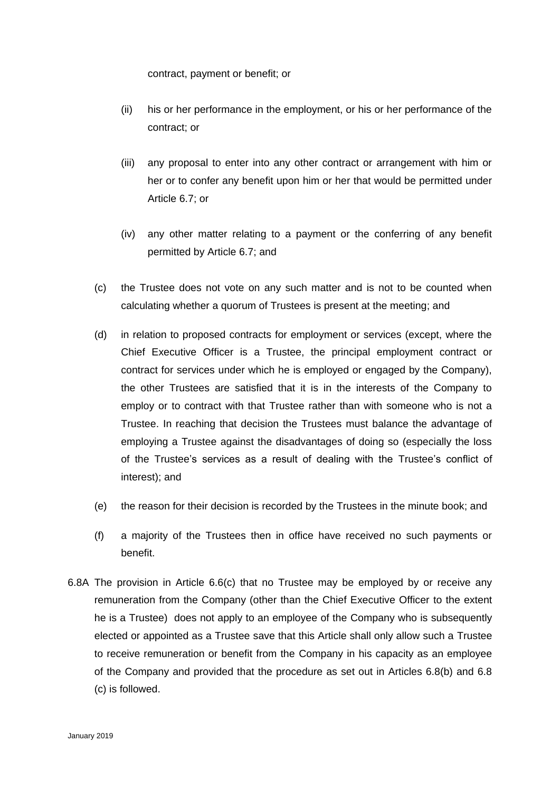contract, payment or benefit; or

- (ii) his or her performance in the employment, or his or her performance of the contract; or
- (iii) any proposal to enter into any other contract or arrangement with him or her or to confer any benefit upon him or her that would be permitted under Article 6.7; or
- (iv) any other matter relating to a payment or the conferring of any benefit permitted by Article 6.7; and
- (c) the Trustee does not vote on any such matter and is not to be counted when calculating whether a quorum of Trustees is present at the meeting; and
- (d) in relation to proposed contracts for employment or services (except, where the Chief Executive Officer is a Trustee, the principal employment contract or contract for services under which he is employed or engaged by the Company), the other Trustees are satisfied that it is in the interests of the Company to employ or to contract with that Trustee rather than with someone who is not a Trustee. In reaching that decision the Trustees must balance the advantage of employing a Trustee against the disadvantages of doing so (especially the loss of the Trustee's services as a result of dealing with the Trustee's conflict of interest); and
- (e) the reason for their decision is recorded by the Trustees in the minute book; and
- (f) a majority of the Trustees then in office have received no such payments or benefit.
- 6.8A The provision in Article 6.6(c) that no Trustee may be employed by or receive any remuneration from the Company (other than the Chief Executive Officer to the extent he is a Trustee) does not apply to an employee of the Company who is subsequently elected or appointed as a Trustee save that this Article shall only allow such a Trustee to receive remuneration or benefit from the Company in his capacity as an employee of the Company and provided that the procedure as set out in Articles 6.8(b) and 6.8 (c) is followed.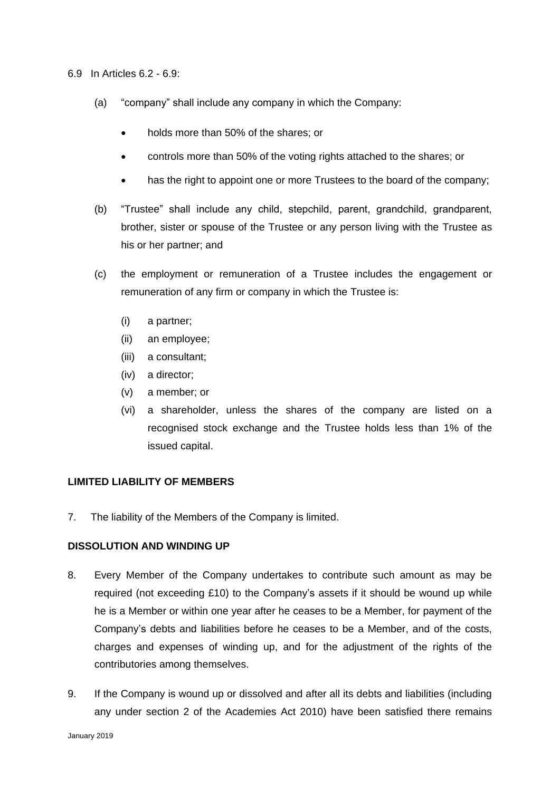- 6.9 In Articles 6.2 6.9:
	- (a) "company" shall include any company in which the Company:
		- holds more than 50% of the shares; or
		- controls more than 50% of the voting rights attached to the shares; or
		- has the right to appoint one or more Trustees to the board of the company;
	- (b) "Trustee" shall include any child, stepchild, parent, grandchild, grandparent, brother, sister or spouse of the Trustee or any person living with the Trustee as his or her partner; and
	- (c) the employment or remuneration of a Trustee includes the engagement or remuneration of any firm or company in which the Trustee is:
		- (i) a partner;
		- (ii) an employee;
		- (iii) a consultant;
		- (iv) a director;
		- (v) a member; or
		- (vi) a shareholder, unless the shares of the company are listed on a recognised stock exchange and the Trustee holds less than 1% of the issued capital.

## **LIMITED LIABILITY OF MEMBERS**

7. The liability of the Members of the Company is limited.

#### **DISSOLUTION AND WINDING UP**

- 8. Every Member of the Company undertakes to contribute such amount as may be required (not exceeding £10) to the Company's assets if it should be wound up while he is a Member or within one year after he ceases to be a Member, for payment of the Company's debts and liabilities before he ceases to be a Member, and of the costs, charges and expenses of winding up, and for the adjustment of the rights of the contributories among themselves.
- 9. If the Company is wound up or dissolved and after all its debts and liabilities (including any under section 2 of the Academies Act 2010) have been satisfied there remains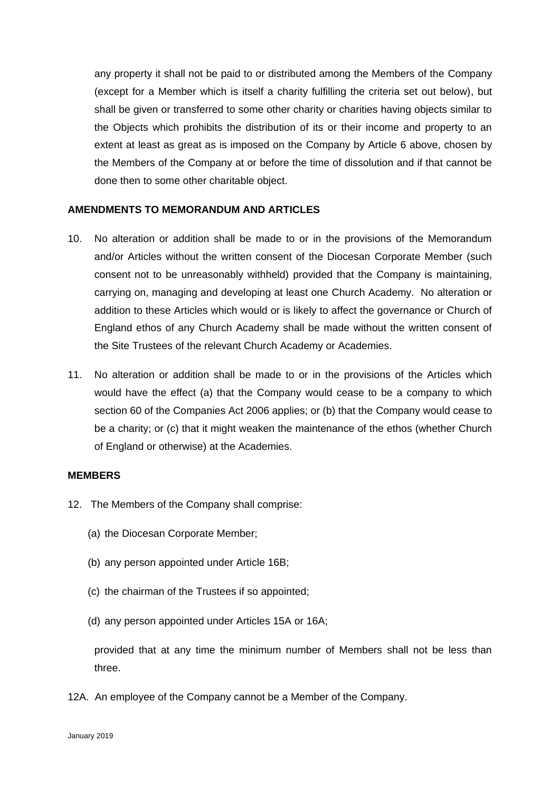any property it shall not be paid to or distributed among the Members of the Company (except for a Member which is itself a charity fulfilling the criteria set out below), but shall be given or transferred to some other charity or charities having objects similar to the Objects which prohibits the distribution of its or their income and property to an extent at least as great as is imposed on the Company by Article 6 above, chosen by the Members of the Company at or before the time of dissolution and if that cannot be done then to some other charitable object.

## **AMENDMENTS TO MEMORANDUM AND ARTICLES**

- 10. No alteration or addition shall be made to or in the provisions of the Memorandum and/or Articles without the written consent of the Diocesan Corporate Member (such consent not to be unreasonably withheld) provided that the Company is maintaining, carrying on, managing and developing at least one Church Academy. No alteration or addition to these Articles which would or is likely to affect the governance or Church of England ethos of any Church Academy shall be made without the written consent of the Site Trustees of the relevant Church Academy or Academies.
- 11. No alteration or addition shall be made to or in the provisions of the Articles which would have the effect (a) that the Company would cease to be a company to which section 60 of the Companies Act 2006 applies; or (b) that the Company would cease to be a charity; or (c) that it might weaken the maintenance of the ethos (whether Church of England or otherwise) at the Academies.

#### **MEMBERS**

- 12. The Members of the Company shall comprise:
	- (a) the Diocesan Corporate Member;
	- (b) any person appointed under Article 16B;
	- (c) the chairman of the Trustees if so appointed;
	- (d) any person appointed under Articles 15A or 16A;

provided that at any time the minimum number of Members shall not be less than three.

12A. An employee of the Company cannot be a Member of the Company.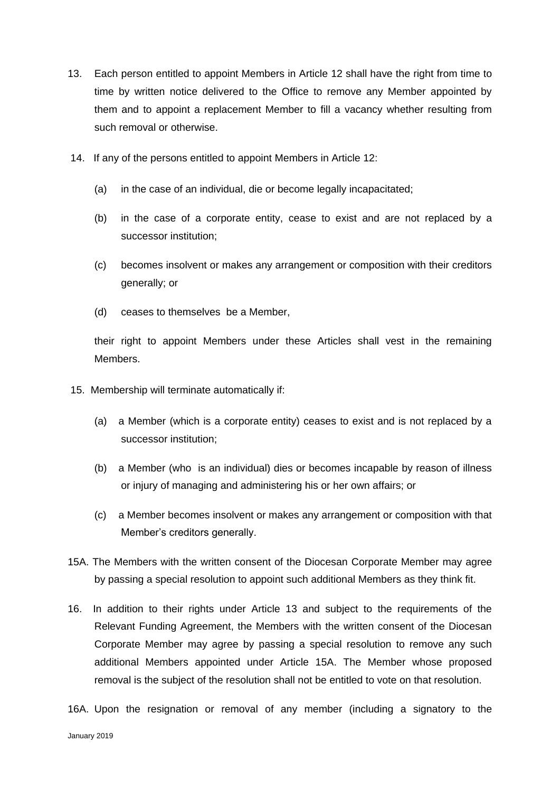- 13. Each person entitled to appoint Members in Article 12 shall have the right from time to time by written notice delivered to the Office to remove any Member appointed by them and to appoint a replacement Member to fill a vacancy whether resulting from such removal or otherwise.
- 14. If any of the persons entitled to appoint Members in Article 12:
	- (a) in the case of an individual, die or become legally incapacitated;
	- (b) in the case of a corporate entity, cease to exist and are not replaced by a successor institution;
	- (c) becomes insolvent or makes any arrangement or composition with their creditors generally; or
	- (d) ceases to themselves be a Member,

their right to appoint Members under these Articles shall vest in the remaining Members.

- 15. Membership will terminate automatically if:
	- (a) a Member (which is a corporate entity) ceases to exist and is not replaced by a successor institution;
	- (b) a Member (who is an individual) dies or becomes incapable by reason of illness or injury of managing and administering his or her own affairs; or
	- (c) a Member becomes insolvent or makes any arrangement or composition with that Member's creditors generally.
- 15A. The Members with the written consent of the Diocesan Corporate Member may agree by passing a special resolution to appoint such additional Members as they think fit.
- 16. In addition to their rights under Article 13 and subject to the requirements of the Relevant Funding Agreement, the Members with the written consent of the Diocesan Corporate Member may agree by passing a special resolution to remove any such additional Members appointed under Article 15A. The Member whose proposed removal is the subject of the resolution shall not be entitled to vote on that resolution.
- 16A. Upon the resignation or removal of any member (including a signatory to the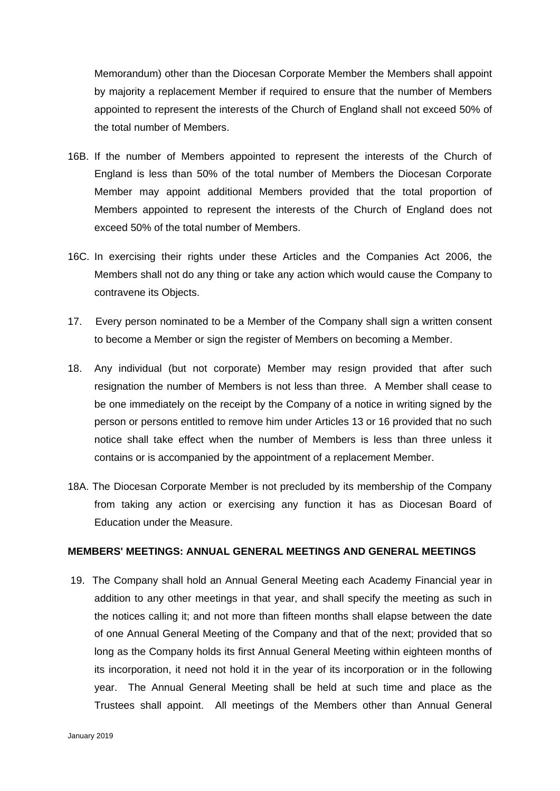Memorandum) other than the Diocesan Corporate Member the Members shall appoint by majority a replacement Member if required to ensure that the number of Members appointed to represent the interests of the Church of England shall not exceed 50% of the total number of Members.

- 16B. If the number of Members appointed to represent the interests of the Church of England is less than 50% of the total number of Members the Diocesan Corporate Member may appoint additional Members provided that the total proportion of Members appointed to represent the interests of the Church of England does not exceed 50% of the total number of Members.
- 16C. In exercising their rights under these Articles and the Companies Act 2006, the Members shall not do any thing or take any action which would cause the Company to contravene its Objects.
- 17. Every person nominated to be a Member of the Company shall sign a written consent to become a Member or sign the register of Members on becoming a Member.
- 18. Any individual (but not corporate) Member may resign provided that after such resignation the number of Members is not less than three. A Member shall cease to be one immediately on the receipt by the Company of a notice in writing signed by the person or persons entitled to remove him under Articles 13 or 16 provided that no such notice shall take effect when the number of Members is less than three unless it contains or is accompanied by the appointment of a replacement Member.
- 18A. The Diocesan Corporate Member is not precluded by its membership of the Company from taking any action or exercising any function it has as Diocesan Board of Education under the Measure.

# **MEMBERS' MEETINGS: ANNUAL GENERAL MEETINGS AND GENERAL MEETINGS**

19. The Company shall hold an Annual General Meeting each Academy Financial year in addition to any other meetings in that year, and shall specify the meeting as such in the notices calling it; and not more than fifteen months shall elapse between the date of one Annual General Meeting of the Company and that of the next; provided that so long as the Company holds its first Annual General Meeting within eighteen months of its incorporation, it need not hold it in the year of its incorporation or in the following year. The Annual General Meeting shall be held at such time and place as the Trustees shall appoint. All meetings of the Members other than Annual General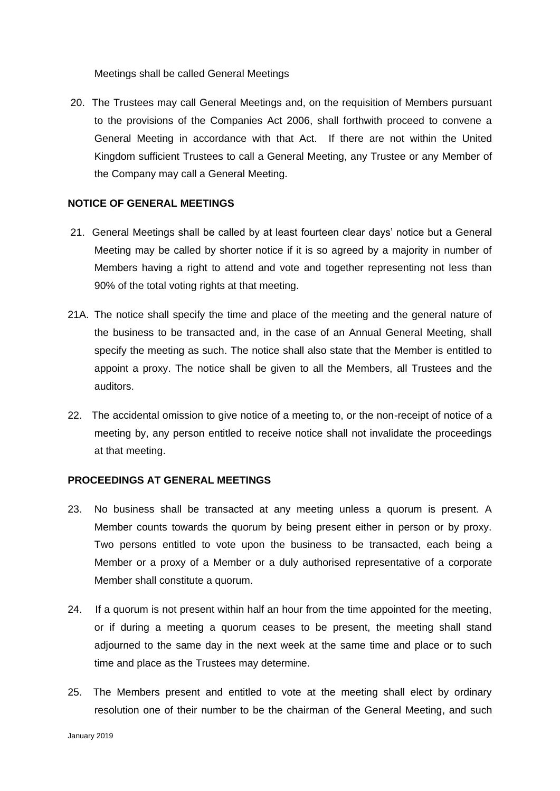Meetings shall be called General Meetings

20. The Trustees may call General Meetings and, on the requisition of Members pursuant to the provisions of the Companies Act 2006, shall forthwith proceed to convene a General Meeting in accordance with that Act. If there are not within the United Kingdom sufficient Trustees to call a General Meeting, any Trustee or any Member of the Company may call a General Meeting.

# **NOTICE OF GENERAL MEETINGS**

- 21. General Meetings shall be called by at least fourteen clear days' notice but a General Meeting may be called by shorter notice if it is so agreed by a majority in number of Members having a right to attend and vote and together representing not less than 90% of the total voting rights at that meeting.
- 21A. The notice shall specify the time and place of the meeting and the general nature of the business to be transacted and, in the case of an Annual General Meeting, shall specify the meeting as such. The notice shall also state that the Member is entitled to appoint a proxy. The notice shall be given to all the Members, all Trustees and the auditors.
- 22. The accidental omission to give notice of a meeting to, or the non-receipt of notice of a meeting by, any person entitled to receive notice shall not invalidate the proceedings at that meeting.

# **PROCEEDINGS AT GENERAL MEETINGS**

- 23. No business shall be transacted at any meeting unless a quorum is present. A Member counts towards the quorum by being present either in person or by proxy. Two persons entitled to vote upon the business to be transacted, each being a Member or a proxy of a Member or a duly authorised representative of a corporate Member shall constitute a quorum.
- 24. If a quorum is not present within half an hour from the time appointed for the meeting, or if during a meeting a quorum ceases to be present, the meeting shall stand adjourned to the same day in the next week at the same time and place or to such time and place as the Trustees may determine.
- 25. The Members present and entitled to vote at the meeting shall elect by ordinary resolution one of their number to be the chairman of the General Meeting, and such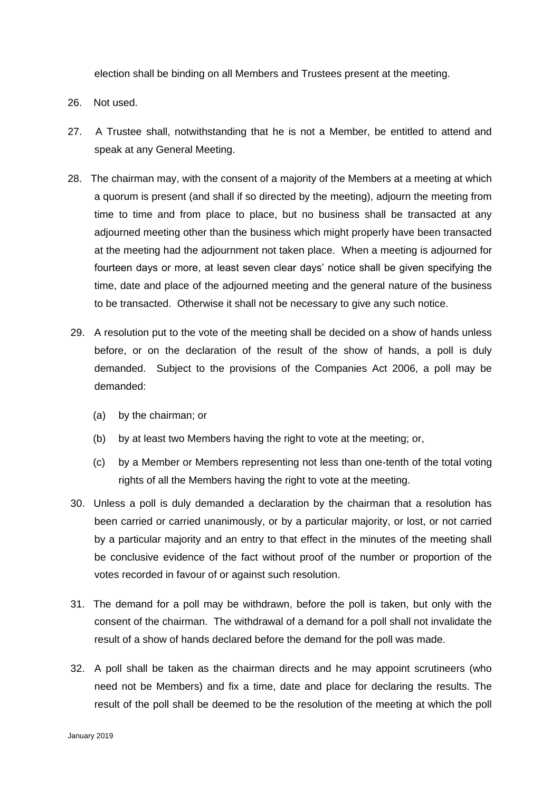election shall be binding on all Members and Trustees present at the meeting.

- 26. Not used.
- 27. A Trustee shall, notwithstanding that he is not a Member, be entitled to attend and speak at any General Meeting.
- 28. The chairman may, with the consent of a majority of the Members at a meeting at which a quorum is present (and shall if so directed by the meeting), adjourn the meeting from time to time and from place to place, but no business shall be transacted at any adjourned meeting other than the business which might properly have been transacted at the meeting had the adjournment not taken place. When a meeting is adjourned for fourteen days or more, at least seven clear days' notice shall be given specifying the time, date and place of the adjourned meeting and the general nature of the business to be transacted. Otherwise it shall not be necessary to give any such notice.
- 29. A resolution put to the vote of the meeting shall be decided on a show of hands unless before, or on the declaration of the result of the show of hands, a poll is duly demanded. Subject to the provisions of the Companies Act 2006, a poll may be demanded:
	- (a) by the chairman; or
	- (b) by at least two Members having the right to vote at the meeting; or,
	- (c) by a Member or Members representing not less than one-tenth of the total voting rights of all the Members having the right to vote at the meeting.
- 30. Unless a poll is duly demanded a declaration by the chairman that a resolution has been carried or carried unanimously, or by a particular majority, or lost, or not carried by a particular majority and an entry to that effect in the minutes of the meeting shall be conclusive evidence of the fact without proof of the number or proportion of the votes recorded in favour of or against such resolution.
- 31. The demand for a poll may be withdrawn, before the poll is taken, but only with the consent of the chairman. The withdrawal of a demand for a poll shall not invalidate the result of a show of hands declared before the demand for the poll was made.
- 32. A poll shall be taken as the chairman directs and he may appoint scrutineers (who need not be Members) and fix a time, date and place for declaring the results. The result of the poll shall be deemed to be the resolution of the meeting at which the poll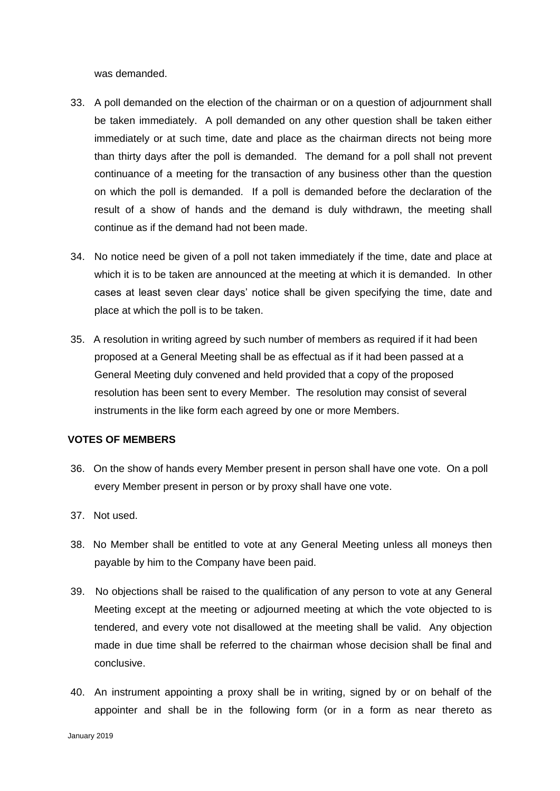was demanded.

- 33. A poll demanded on the election of the chairman or on a question of adjournment shall be taken immediately. A poll demanded on any other question shall be taken either immediately or at such time, date and place as the chairman directs not being more than thirty days after the poll is demanded. The demand for a poll shall not prevent continuance of a meeting for the transaction of any business other than the question on which the poll is demanded. If a poll is demanded before the declaration of the result of a show of hands and the demand is duly withdrawn, the meeting shall continue as if the demand had not been made.
- 34. No notice need be given of a poll not taken immediately if the time, date and place at which it is to be taken are announced at the meeting at which it is demanded. In other cases at least seven clear days' notice shall be given specifying the time, date and place at which the poll is to be taken.
- 35. A resolution in writing agreed by such number of members as required if it had been proposed at a General Meeting shall be as effectual as if it had been passed at a General Meeting duly convened and held provided that a copy of the proposed resolution has been sent to every Member. The resolution may consist of several instruments in the like form each agreed by one or more Members.

#### **VOTES OF MEMBERS**

- 36. On the show of hands every Member present in person shall have one vote. On a poll every Member present in person or by proxy shall have one vote.
- 37. Not used.
- 38. No Member shall be entitled to vote at any General Meeting unless all moneys then payable by him to the Company have been paid.
- 39. No objections shall be raised to the qualification of any person to vote at any General Meeting except at the meeting or adjourned meeting at which the vote objected to is tendered, and every vote not disallowed at the meeting shall be valid. Any objection made in due time shall be referred to the chairman whose decision shall be final and conclusive.
- 40. An instrument appointing a proxy shall be in writing, signed by or on behalf of the appointer and shall be in the following form (or in a form as near thereto as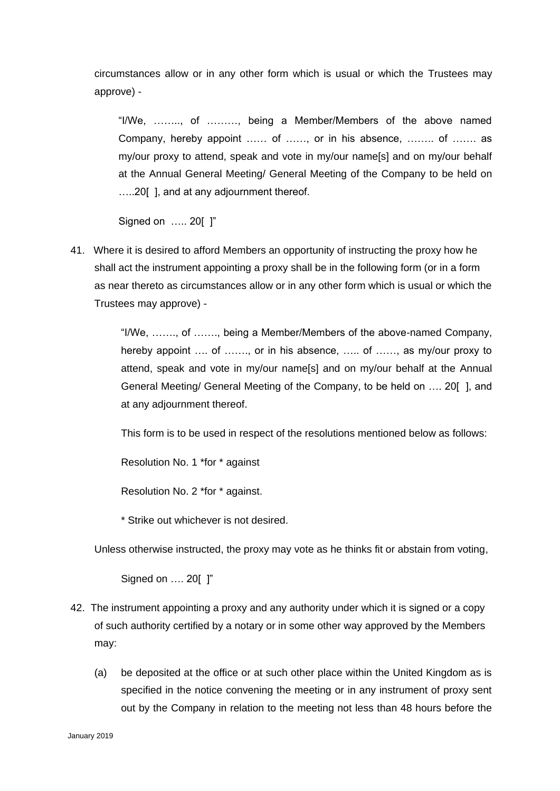circumstances allow or in any other form which is usual or which the Trustees may approve) -

"I/We, …….., of ………, being a Member/Members of the above named Company, hereby appoint …… of ……, or in his absence, …….. of ……. as my/our proxy to attend, speak and vote in my/our name[s] and on my/our behalf at the Annual General Meeting/ General Meeting of the Company to be held on …..20[ ], and at any adjournment thereof.

Signed on ….. 20[ ]"

41. Where it is desired to afford Members an opportunity of instructing the proxy how he shall act the instrument appointing a proxy shall be in the following form (or in a form as near thereto as circumstances allow or in any other form which is usual or which the Trustees may approve) -

> "I/We, ……., of ……., being a Member/Members of the above-named Company, hereby appoint .... of ......., or in his absence, ..... of ......, as my/our proxy to attend, speak and vote in my/our name[s] and on my/our behalf at the Annual General Meeting/ General Meeting of the Company, to be held on …. 20[ ], and at any adjournment thereof.

This form is to be used in respect of the resolutions mentioned below as follows:

Resolution No. 1 \*for \* against

Resolution No. 2 \*for \* against.

\* Strike out whichever is not desired.

Unless otherwise instructed, the proxy may vote as he thinks fit or abstain from voting,

Signed on …. 20[ ]"

- 42. The instrument appointing a proxy and any authority under which it is signed or a copy of such authority certified by a notary or in some other way approved by the Members may:
	- (a) be deposited at the office or at such other place within the United Kingdom as is specified in the notice convening the meeting or in any instrument of proxy sent out by the Company in relation to the meeting not less than 48 hours before the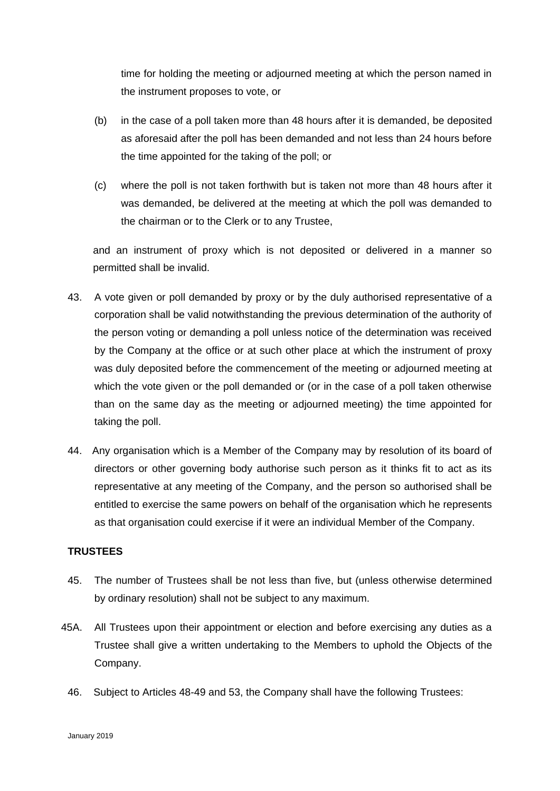time for holding the meeting or adjourned meeting at which the person named in the instrument proposes to vote, or

- (b) in the case of a poll taken more than 48 hours after it is demanded, be deposited as aforesaid after the poll has been demanded and not less than 24 hours before the time appointed for the taking of the poll; or
- (c) where the poll is not taken forthwith but is taken not more than 48 hours after it was demanded, be delivered at the meeting at which the poll was demanded to the chairman or to the Clerk or to any Trustee,

and an instrument of proxy which is not deposited or delivered in a manner so permitted shall be invalid.

- 43. A vote given or poll demanded by proxy or by the duly authorised representative of a corporation shall be valid notwithstanding the previous determination of the authority of the person voting or demanding a poll unless notice of the determination was received by the Company at the office or at such other place at which the instrument of proxy was duly deposited before the commencement of the meeting or adjourned meeting at which the vote given or the poll demanded or (or in the case of a poll taken otherwise than on the same day as the meeting or adjourned meeting) the time appointed for taking the poll.
- 44. Any organisation which is a Member of the Company may by resolution of its board of directors or other governing body authorise such person as it thinks fit to act as its representative at any meeting of the Company, and the person so authorised shall be entitled to exercise the same powers on behalf of the organisation which he represents as that organisation could exercise if it were an individual Member of the Company.

# **TRUSTEES**

- 45. The number of Trustees shall be not less than five, but (unless otherwise determined by ordinary resolution) shall not be subject to any maximum.
- 45A. All Trustees upon their appointment or election and before exercising any duties as a Trustee shall give a written undertaking to the Members to uphold the Objects of the Company.
	- 46. Subject to Articles 48-49 and 53, the Company shall have the following Trustees: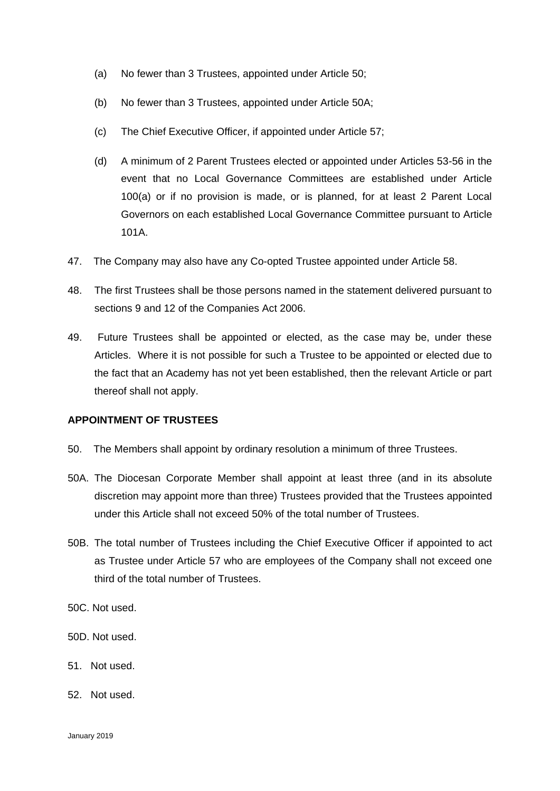- (a) No fewer than 3 Trustees, appointed under Article 50;
- (b) No fewer than 3 Trustees, appointed under Article 50A;
- (c) The Chief Executive Officer, if appointed under Article 57;
- (d) A minimum of 2 Parent Trustees elected or appointed under Articles 53-56 in the event that no Local Governance Committees are established under Article 100(a) or if no provision is made, or is planned, for at least 2 Parent Local Governors on each established Local Governance Committee pursuant to Article 101A.
- 47. The Company may also have any Co-opted Trustee appointed under Article 58.
- 48. The first Trustees shall be those persons named in the statement delivered pursuant to sections 9 and 12 of the Companies Act 2006.
- 49. Future Trustees shall be appointed or elected, as the case may be, under these Articles. Where it is not possible for such a Trustee to be appointed or elected due to the fact that an Academy has not yet been established, then the relevant Article or part thereof shall not apply.

#### **APPOINTMENT OF TRUSTEES**

- 50. The Members shall appoint by ordinary resolution a minimum of three Trustees.
- 50A. The Diocesan Corporate Member shall appoint at least three (and in its absolute discretion may appoint more than three) Trustees provided that the Trustees appointed under this Article shall not exceed 50% of the total number of Trustees.
- 50B. The total number of Trustees including the Chief Executive Officer if appointed to act as Trustee under Article 57 who are employees of the Company shall not exceed one third of the total number of Trustees.
- 50C. Not used.
- 50D. Not used.
- 51. Not used.
- 52. Not used.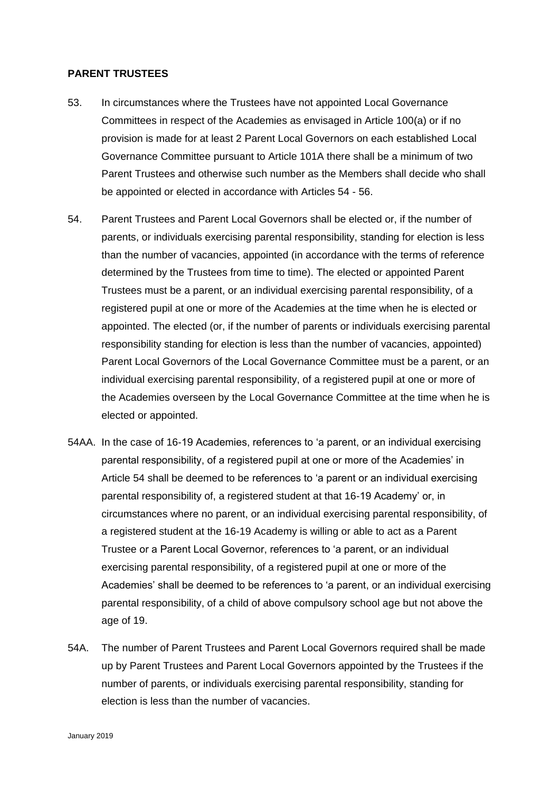### **PARENT TRUSTEES**

- 53. In circumstances where the Trustees have not appointed Local Governance Committees in respect of the Academies as envisaged in Article 100(a) or if no provision is made for at least 2 Parent Local Governors on each established Local Governance Committee pursuant to Article 101A there shall be a minimum of two Parent Trustees and otherwise such number as the Members shall decide who shall be appointed or elected in accordance with Articles 54 - 56.
- 54. Parent Trustees and Parent Local Governors shall be elected or, if the number of parents, or individuals exercising parental responsibility, standing for election is less than the number of vacancies, appointed (in accordance with the terms of reference determined by the Trustees from time to time). The elected or appointed Parent Trustees must be a parent, or an individual exercising parental responsibility, of a registered pupil at one or more of the Academies at the time when he is elected or appointed. The elected (or, if the number of parents or individuals exercising parental responsibility standing for election is less than the number of vacancies, appointed) Parent Local Governors of the Local Governance Committee must be a parent, or an individual exercising parental responsibility, of a registered pupil at one or more of the Academies overseen by the Local Governance Committee at the time when he is elected or appointed.
- 54AA. In the case of 16-19 Academies, references to 'a parent, or an individual exercising parental responsibility, of a registered pupil at one or more of the Academies' in Article 54 shall be deemed to be references to 'a parent or an individual exercising parental responsibility of, a registered student at that 16-19 Academy' or, in circumstances where no parent, or an individual exercising parental responsibility, of a registered student at the 16-19 Academy is willing or able to act as a Parent Trustee or a Parent Local Governor, references to 'a parent, or an individual exercising parental responsibility, of a registered pupil at one or more of the Academies' shall be deemed to be references to 'a parent, or an individual exercising parental responsibility, of a child of above compulsory school age but not above the age of 19.
- 54A. The number of Parent Trustees and Parent Local Governors required shall be made up by Parent Trustees and Parent Local Governors appointed by the Trustees if the number of parents, or individuals exercising parental responsibility, standing for election is less than the number of vacancies.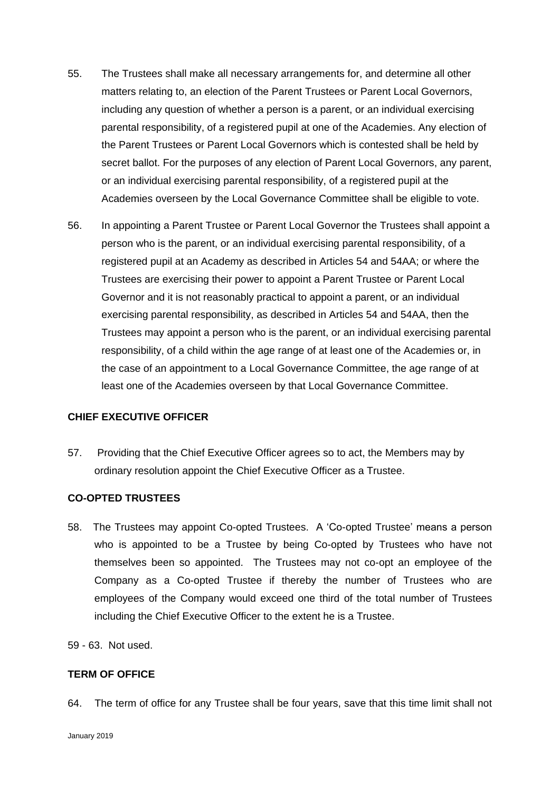- 55. The Trustees shall make all necessary arrangements for, and determine all other matters relating to, an election of the Parent Trustees or Parent Local Governors, including any question of whether a person is a parent, or an individual exercising parental responsibility, of a registered pupil at one of the Academies. Any election of the Parent Trustees or Parent Local Governors which is contested shall be held by secret ballot. For the purposes of any election of Parent Local Governors, any parent, or an individual exercising parental responsibility, of a registered pupil at the Academies overseen by the Local Governance Committee shall be eligible to vote.
- 56. In appointing a Parent Trustee or Parent Local Governor the Trustees shall appoint a person who is the parent, or an individual exercising parental responsibility, of a registered pupil at an Academy as described in Articles 54 and 54AA; or where the Trustees are exercising their power to appoint a Parent Trustee or Parent Local Governor and it is not reasonably practical to appoint a parent, or an individual exercising parental responsibility, as described in Articles 54 and 54AA, then the Trustees may appoint a person who is the parent, or an individual exercising parental responsibility, of a child within the age range of at least one of the Academies or, in the case of an appointment to a Local Governance Committee, the age range of at least one of the Academies overseen by that Local Governance Committee.

# **CHIEF EXECUTIVE OFFICER**

57. Providing that the Chief Executive Officer agrees so to act, the Members may by ordinary resolution appoint the Chief Executive Officer as a Trustee.

#### **CO-OPTED TRUSTEES**

58. The Trustees may appoint Co-opted Trustees. A 'Co-opted Trustee' means a person who is appointed to be a Trustee by being Co-opted by Trustees who have not themselves been so appointed. The Trustees may not co-opt an employee of the Company as a Co-opted Trustee if thereby the number of Trustees who are employees of the Company would exceed one third of the total number of Trustees including the Chief Executive Officer to the extent he is a Trustee.

59 - 63. Not used.

## **TERM OF OFFICE**

64. The term of office for any Trustee shall be four years, save that this time limit shall not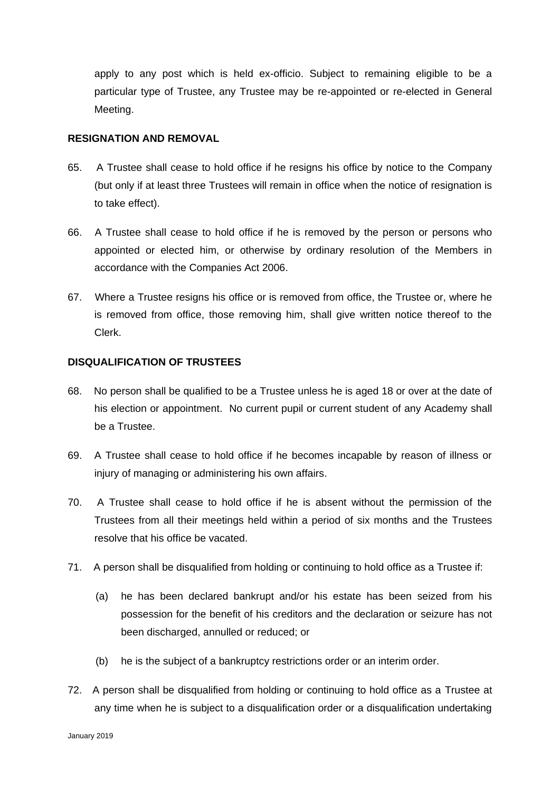apply to any post which is held ex-officio. Subject to remaining eligible to be a particular type of Trustee, any Trustee may be re-appointed or re-elected in General Meeting.

## **RESIGNATION AND REMOVAL**

- 65. A Trustee shall cease to hold office if he resigns his office by notice to the Company (but only if at least three Trustees will remain in office when the notice of resignation is to take effect).
- 66. A Trustee shall cease to hold office if he is removed by the person or persons who appointed or elected him, or otherwise by ordinary resolution of the Members in accordance with the Companies Act 2006.
- 67. Where a Trustee resigns his office or is removed from office, the Trustee or, where he is removed from office, those removing him, shall give written notice thereof to the Clerk.

# **DISQUALIFICATION OF TRUSTEES**

- 68. No person shall be qualified to be a Trustee unless he is aged 18 or over at the date of his election or appointment. No current pupil or current student of any Academy shall be a Trustee.
- 69. A Trustee shall cease to hold office if he becomes incapable by reason of illness or injury of managing or administering his own affairs.
- 70. A Trustee shall cease to hold office if he is absent without the permission of the Trustees from all their meetings held within a period of six months and the Trustees resolve that his office be vacated.
- 71. A person shall be disqualified from holding or continuing to hold office as a Trustee if:
	- (a) he has been declared bankrupt and/or his estate has been seized from his possession for the benefit of his creditors and the declaration or seizure has not been discharged, annulled or reduced; or
	- (b) he is the subject of a bankruptcy restrictions order or an interim order.
- 72. A person shall be disqualified from holding or continuing to hold office as a Trustee at any time when he is subject to a disqualification order or a disqualification undertaking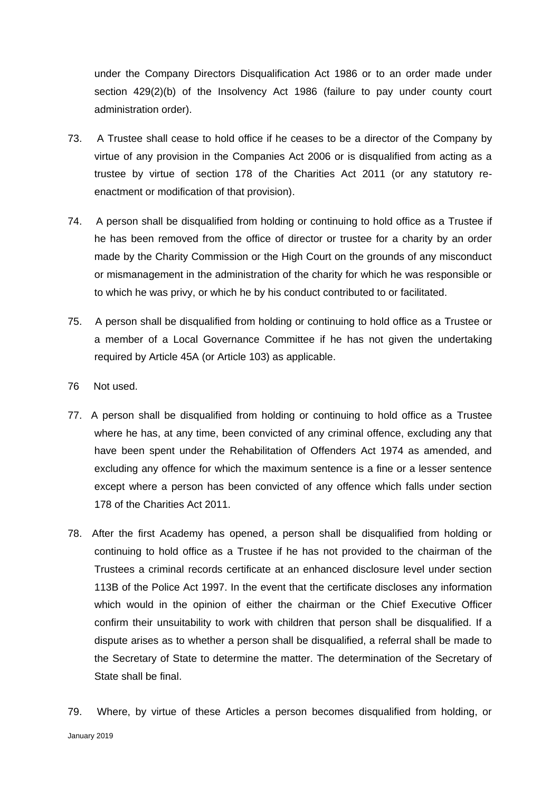under the Company Directors Disqualification Act 1986 or to an order made under section 429(2)(b) of the Insolvency Act 1986 (failure to pay under county court administration order).

- 73. A Trustee shall cease to hold office if he ceases to be a director of the Company by virtue of any provision in the Companies Act 2006 or is disqualified from acting as a trustee by virtue of section 178 of the Charities Act 2011 (or any statutory reenactment or modification of that provision).
- 74. A person shall be disqualified from holding or continuing to hold office as a Trustee if he has been removed from the office of director or trustee for a charity by an order made by the Charity Commission or the High Court on the grounds of any misconduct or mismanagement in the administration of the charity for which he was responsible or to which he was privy, or which he by his conduct contributed to or facilitated.
- 75. A person shall be disqualified from holding or continuing to hold office as a Trustee or a member of a Local Governance Committee if he has not given the undertaking required by Article 45A (or Article 103) as applicable.
- 76 Not used.
- 77. A person shall be disqualified from holding or continuing to hold office as a Trustee where he has, at any time, been convicted of any criminal offence, excluding any that have been spent under the Rehabilitation of Offenders Act 1974 as amended, and excluding any offence for which the maximum sentence is a fine or a lesser sentence except where a person has been convicted of any offence which falls under section 178 of the Charities Act 2011.
- 78. After the first Academy has opened, a person shall be disqualified from holding or continuing to hold office as a Trustee if he has not provided to the chairman of the Trustees a criminal records certificate at an enhanced disclosure level under section 113B of the Police Act 1997. In the event that the certificate discloses any information which would in the opinion of either the chairman or the Chief Executive Officer confirm their unsuitability to work with children that person shall be disqualified. If a dispute arises as to whether a person shall be disqualified, a referral shall be made to the Secretary of State to determine the matter. The determination of the Secretary of State shall be final.
- January 2019 79. Where, by virtue of these Articles a person becomes disqualified from holding, or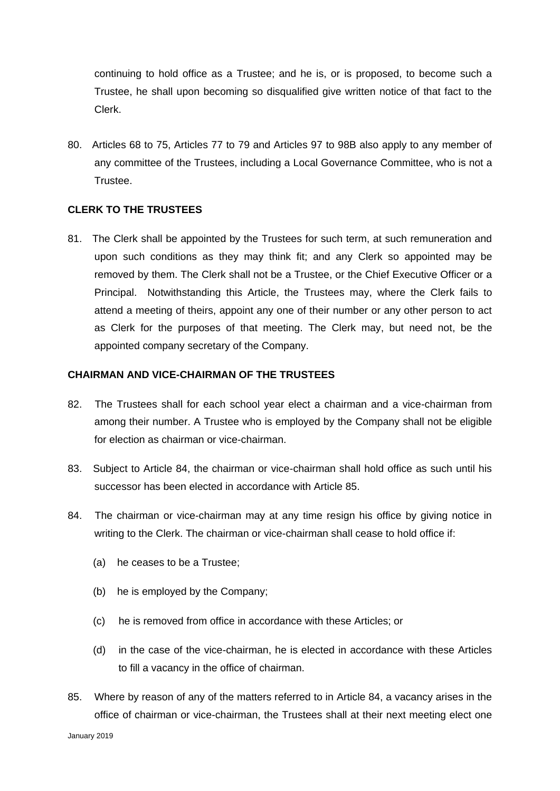continuing to hold office as a Trustee; and he is, or is proposed, to become such a Trustee, he shall upon becoming so disqualified give written notice of that fact to the Clerk.

80. Articles 68 to 75, Articles 77 to 79 and Articles 97 to 98B also apply to any member of any committee of the Trustees, including a Local Governance Committee, who is not a Trustee.

## **CLERK TO THE TRUSTEES**

81. The Clerk shall be appointed by the Trustees for such term, at such remuneration and upon such conditions as they may think fit; and any Clerk so appointed may be removed by them. The Clerk shall not be a Trustee, or the Chief Executive Officer or a Principal. Notwithstanding this Article, the Trustees may, where the Clerk fails to attend a meeting of theirs, appoint any one of their number or any other person to act as Clerk for the purposes of that meeting. The Clerk may, but need not, be the appointed company secretary of the Company.

#### **CHAIRMAN AND VICE-CHAIRMAN OF THE TRUSTEES**

- 82. The Trustees shall for each school year elect a chairman and a vice-chairman from among their number. A Trustee who is employed by the Company shall not be eligible for election as chairman or vice-chairman.
- 83. Subject to Article 84, the chairman or vice-chairman shall hold office as such until his successor has been elected in accordance with Article 85.
- 84. The chairman or vice-chairman may at any time resign his office by giving notice in writing to the Clerk. The chairman or vice-chairman shall cease to hold office if:
	- (a) he ceases to be a Trustee;
	- (b) he is employed by the Company;
	- (c) he is removed from office in accordance with these Articles; or
	- (d) in the case of the vice-chairman, he is elected in accordance with these Articles to fill a vacancy in the office of chairman.
- 85. Where by reason of any of the matters referred to in Article 84, a vacancy arises in the office of chairman or vice-chairman, the Trustees shall at their next meeting elect one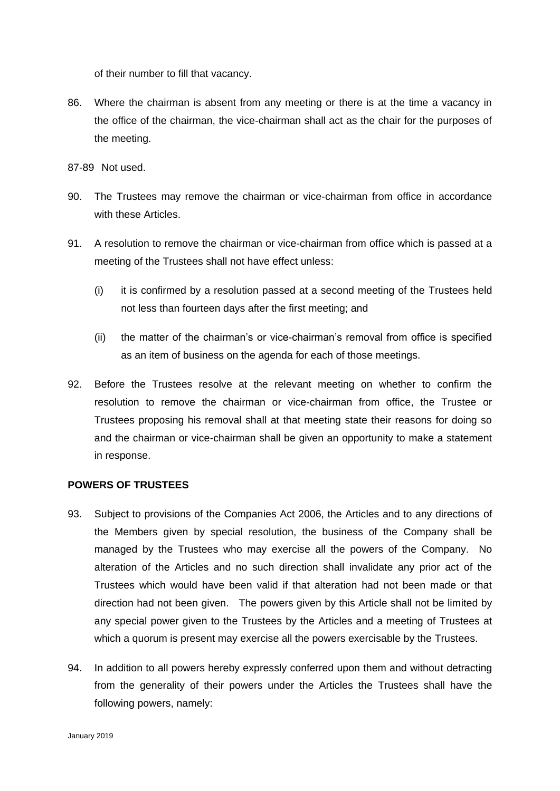of their number to fill that vacancy.

- 86. Where the chairman is absent from any meeting or there is at the time a vacancy in the office of the chairman, the vice-chairman shall act as the chair for the purposes of the meeting.
- 87-89 Not used.
- 90. The Trustees may remove the chairman or vice-chairman from office in accordance with these Articles.
- 91. A resolution to remove the chairman or vice-chairman from office which is passed at a meeting of the Trustees shall not have effect unless:
	- (i) it is confirmed by a resolution passed at a second meeting of the Trustees held not less than fourteen days after the first meeting; and
	- (ii) the matter of the chairman's or vice-chairman's removal from office is specified as an item of business on the agenda for each of those meetings.
- 92. Before the Trustees resolve at the relevant meeting on whether to confirm the resolution to remove the chairman or vice-chairman from office, the Trustee or Trustees proposing his removal shall at that meeting state their reasons for doing so and the chairman or vice-chairman shall be given an opportunity to make a statement in response.

# **POWERS OF TRUSTEES**

- 93. Subject to provisions of the Companies Act 2006, the Articles and to any directions of the Members given by special resolution, the business of the Company shall be managed by the Trustees who may exercise all the powers of the Company. No alteration of the Articles and no such direction shall invalidate any prior act of the Trustees which would have been valid if that alteration had not been made or that direction had not been given. The powers given by this Article shall not be limited by any special power given to the Trustees by the Articles and a meeting of Trustees at which a quorum is present may exercise all the powers exercisable by the Trustees.
- 94. In addition to all powers hereby expressly conferred upon them and without detracting from the generality of their powers under the Articles the Trustees shall have the following powers, namely: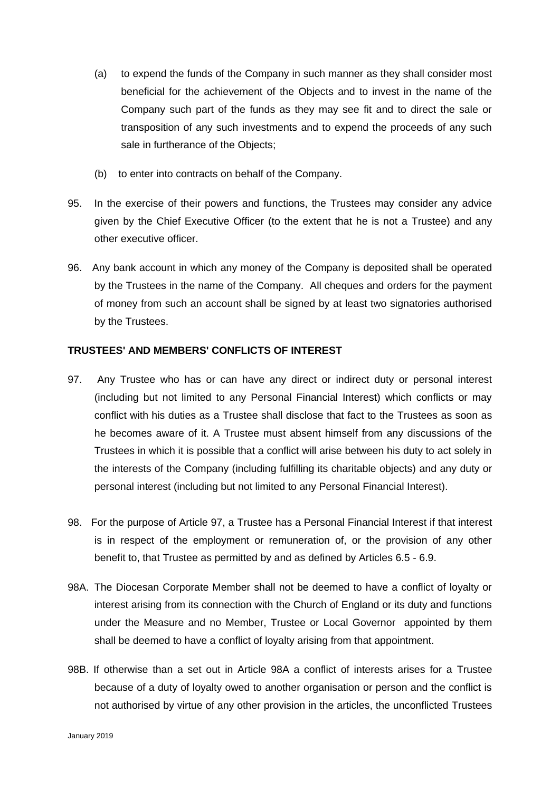- (a) to expend the funds of the Company in such manner as they shall consider most beneficial for the achievement of the Objects and to invest in the name of the Company such part of the funds as they may see fit and to direct the sale or transposition of any such investments and to expend the proceeds of any such sale in furtherance of the Objects;
- (b) to enter into contracts on behalf of the Company.
- 95. In the exercise of their powers and functions, the Trustees may consider any advice given by the Chief Executive Officer (to the extent that he is not a Trustee) and any other executive officer.
- 96. Any bank account in which any money of the Company is deposited shall be operated by the Trustees in the name of the Company. All cheques and orders for the payment of money from such an account shall be signed by at least two signatories authorised by the Trustees.

## **TRUSTEES' AND MEMBERS' CONFLICTS OF INTEREST**

- 97. Any Trustee who has or can have any direct or indirect duty or personal interest (including but not limited to any Personal Financial Interest) which conflicts or may conflict with his duties as a Trustee shall disclose that fact to the Trustees as soon as he becomes aware of it. A Trustee must absent himself from any discussions of the Trustees in which it is possible that a conflict will arise between his duty to act solely in the interests of the Company (including fulfilling its charitable objects) and any duty or personal interest (including but not limited to any Personal Financial Interest).
- 98. For the purpose of Article 97, a Trustee has a Personal Financial Interest if that interest is in respect of the employment or remuneration of, or the provision of any other benefit to, that Trustee as permitted by and as defined by Articles 6.5 - 6.9.
- 98A. The Diocesan Corporate Member shall not be deemed to have a conflict of loyalty or interest arising from its connection with the Church of England or its duty and functions under the Measure and no Member, Trustee or Local Governor appointed by them shall be deemed to have a conflict of loyalty arising from that appointment.
- 98B. If otherwise than a set out in Article 98A a conflict of interests arises for a Trustee because of a duty of loyalty owed to another organisation or person and the conflict is not authorised by virtue of any other provision in the articles, the unconflicted Trustees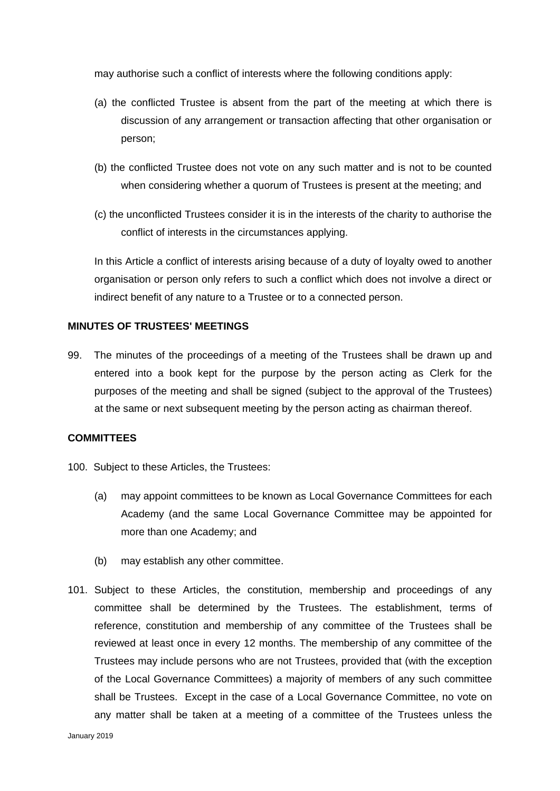may authorise such a conflict of interests where the following conditions apply:

- (a) the conflicted Trustee is absent from the part of the meeting at which there is discussion of any arrangement or transaction affecting that other organisation or person;
- (b) the conflicted Trustee does not vote on any such matter and is not to be counted when considering whether a quorum of Trustees is present at the meeting; and
- (c) the unconflicted Trustees consider it is in the interests of the charity to authorise the conflict of interests in the circumstances applying.

In this Article a conflict of interests arising because of a duty of loyalty owed to another organisation or person only refers to such a conflict which does not involve a direct or indirect benefit of any nature to a Trustee or to a connected person.

# **MINUTES OF TRUSTEES' MEETINGS**

99. The minutes of the proceedings of a meeting of the Trustees shall be drawn up and entered into a book kept for the purpose by the person acting as Clerk for the purposes of the meeting and shall be signed (subject to the approval of the Trustees) at the same or next subsequent meeting by the person acting as chairman thereof.

## **COMMITTEES**

- 100. Subject to these Articles, the Trustees:
	- (a) may appoint committees to be known as Local Governance Committees for each Academy (and the same Local Governance Committee may be appointed for more than one Academy; and
	- (b) may establish any other committee.
- 101. Subject to these Articles, the constitution, membership and proceedings of any committee shall be determined by the Trustees. The establishment, terms of reference, constitution and membership of any committee of the Trustees shall be reviewed at least once in every 12 months. The membership of any committee of the Trustees may include persons who are not Trustees, provided that (with the exception of the Local Governance Committees) a majority of members of any such committee shall be Trustees. Except in the case of a Local Governance Committee, no vote on any matter shall be taken at a meeting of a committee of the Trustees unless the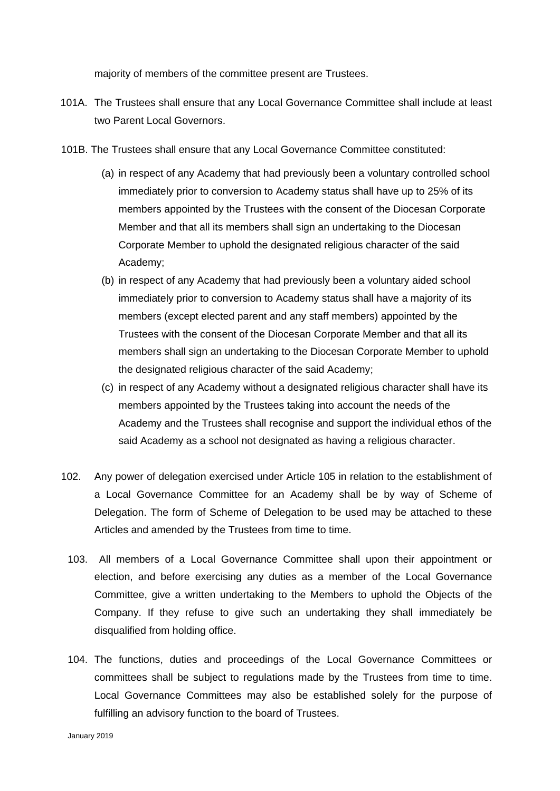majority of members of the committee present are Trustees.

- 101A. The Trustees shall ensure that any Local Governance Committee shall include at least two Parent Local Governors.
- 101B. The Trustees shall ensure that any Local Governance Committee constituted:
	- (a) in respect of any Academy that had previously been a voluntary controlled school immediately prior to conversion to Academy status shall have up to 25% of its members appointed by the Trustees with the consent of the Diocesan Corporate Member and that all its members shall sign an undertaking to the Diocesan Corporate Member to uphold the designated religious character of the said Academy;
	- (b) in respect of any Academy that had previously been a voluntary aided school immediately prior to conversion to Academy status shall have a majority of its members (except elected parent and any staff members) appointed by the Trustees with the consent of the Diocesan Corporate Member and that all its members shall sign an undertaking to the Diocesan Corporate Member to uphold the designated religious character of the said Academy;
	- (c) in respect of any Academy without a designated religious character shall have its members appointed by the Trustees taking into account the needs of the Academy and the Trustees shall recognise and support the individual ethos of the said Academy as a school not designated as having a religious character.
- 102. Any power of delegation exercised under Article 105 in relation to the establishment of a Local Governance Committee for an Academy shall be by way of Scheme of Delegation. The form of Scheme of Delegation to be used may be attached to these Articles and amended by the Trustees from time to time.
	- 103. All members of a Local Governance Committee shall upon their appointment or election, and before exercising any duties as a member of the Local Governance Committee, give a written undertaking to the Members to uphold the Objects of the Company. If they refuse to give such an undertaking they shall immediately be disqualified from holding office.
	- 104. The functions, duties and proceedings of the Local Governance Committees or committees shall be subject to regulations made by the Trustees from time to time. Local Governance Committees may also be established solely for the purpose of fulfilling an advisory function to the board of Trustees.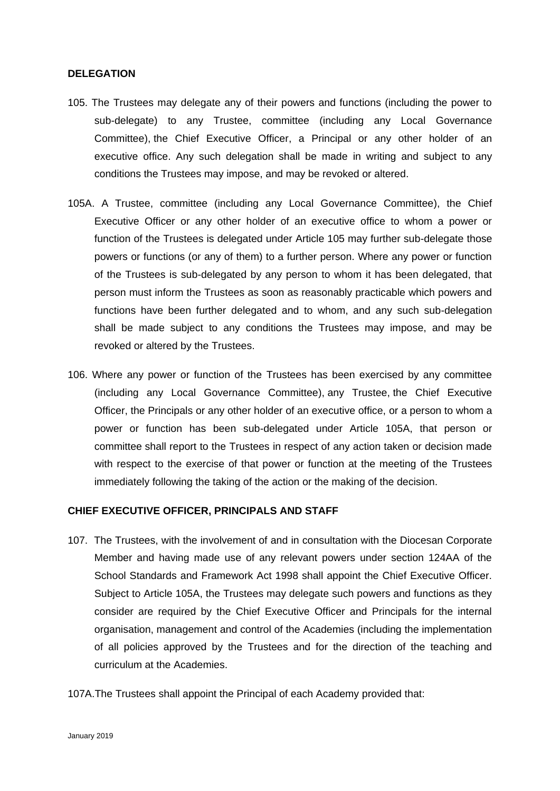#### **DELEGATION**

- 105. The Trustees may delegate any of their powers and functions (including the power to sub-delegate) to any Trustee, committee (including any Local Governance Committee), the Chief Executive Officer, a Principal or any other holder of an executive office. Any such delegation shall be made in writing and subject to any conditions the Trustees may impose, and may be revoked or altered.
- 105A. A Trustee, committee (including any Local Governance Committee), the Chief Executive Officer or any other holder of an executive office to whom a power or function of the Trustees is delegated under Article 105 may further sub-delegate those powers or functions (or any of them) to a further person. Where any power or function of the Trustees is sub-delegated by any person to whom it has been delegated, that person must inform the Trustees as soon as reasonably practicable which powers and functions have been further delegated and to whom, and any such sub-delegation shall be made subject to any conditions the Trustees may impose, and may be revoked or altered by the Trustees.
- 106. Where any power or function of the Trustees has been exercised by any committee (including any Local Governance Committee), any Trustee, the Chief Executive Officer, the Principals or any other holder of an executive office, or a person to whom a power or function has been sub-delegated under Article 105A, that person or committee shall report to the Trustees in respect of any action taken or decision made with respect to the exercise of that power or function at the meeting of the Trustees immediately following the taking of the action or the making of the decision.

#### **CHIEF EXECUTIVE OFFICER, PRINCIPALS AND STAFF**

- 107. The Trustees, with the involvement of and in consultation with the Diocesan Corporate Member and having made use of any relevant powers under section 124AA of the School Standards and Framework Act 1998 shall appoint the Chief Executive Officer. Subject to Article 105A, the Trustees may delegate such powers and functions as they consider are required by the Chief Executive Officer and Principals for the internal organisation, management and control of the Academies (including the implementation of all policies approved by the Trustees and for the direction of the teaching and curriculum at the Academies.
- 107A.The Trustees shall appoint the Principal of each Academy provided that: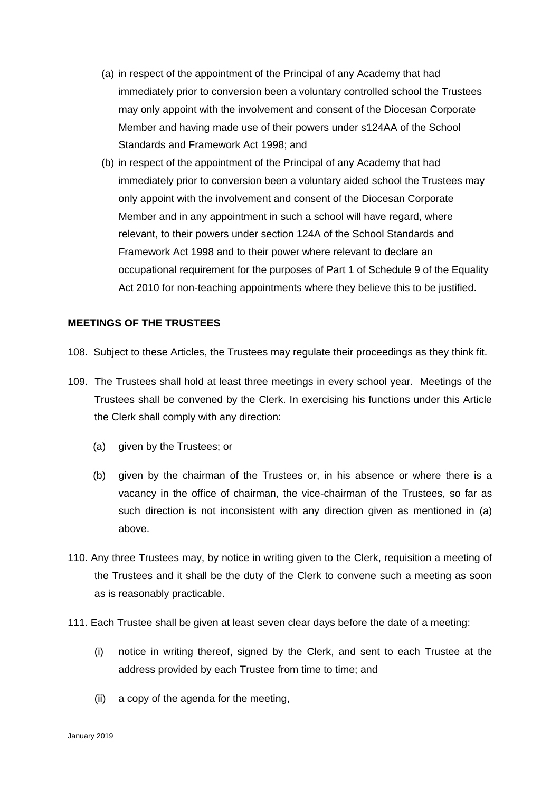- (a) in respect of the appointment of the Principal of any Academy that had immediately prior to conversion been a voluntary controlled school the Trustees may only appoint with the involvement and consent of the Diocesan Corporate Member and having made use of their powers under s124AA of the School Standards and Framework Act 1998; and
- (b) in respect of the appointment of the Principal of any Academy that had immediately prior to conversion been a voluntary aided school the Trustees may only appoint with the involvement and consent of the Diocesan Corporate Member and in any appointment in such a school will have regard, where relevant, to their powers under section 124A of the School Standards and Framework Act 1998 and to their power where relevant to declare an occupational requirement for the purposes of Part 1 of Schedule 9 of the Equality Act 2010 for non-teaching appointments where they believe this to be justified.

#### **MEETINGS OF THE TRUSTEES**

- 108. Subject to these Articles, the Trustees may regulate their proceedings as they think fit.
- 109. The Trustees shall hold at least three meetings in every school year. Meetings of the Trustees shall be convened by the Clerk. In exercising his functions under this Article the Clerk shall comply with any direction:
	- (a) given by the Trustees; or
	- (b) given by the chairman of the Trustees or, in his absence or where there is a vacancy in the office of chairman, the vice-chairman of the Trustees, so far as such direction is not inconsistent with any direction given as mentioned in (a) above.
- 110. Any three Trustees may, by notice in writing given to the Clerk, requisition a meeting of the Trustees and it shall be the duty of the Clerk to convene such a meeting as soon as is reasonably practicable.
- 111. Each Trustee shall be given at least seven clear days before the date of a meeting:
	- (i) notice in writing thereof, signed by the Clerk, and sent to each Trustee at the address provided by each Trustee from time to time; and
	- (ii) a copy of the agenda for the meeting,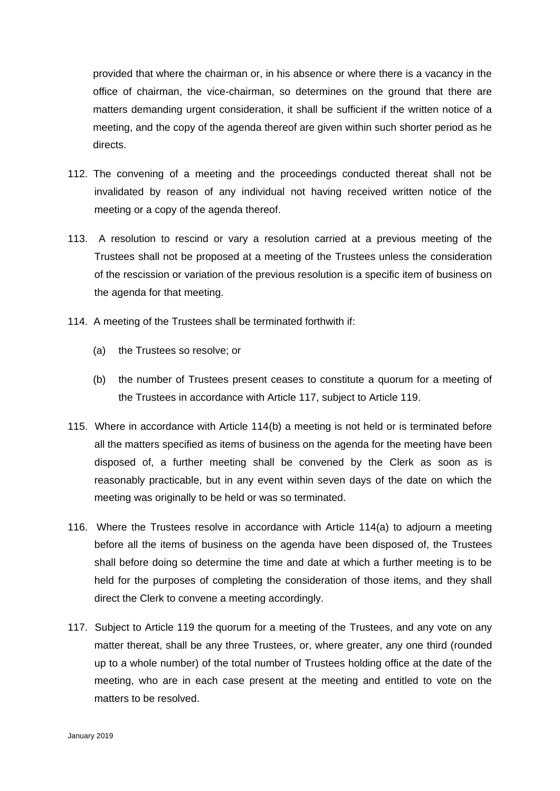provided that where the chairman or, in his absence or where there is a vacancy in the office of chairman, the vice-chairman, so determines on the ground that there are matters demanding urgent consideration, it shall be sufficient if the written notice of a meeting, and the copy of the agenda thereof are given within such shorter period as he directs.

- 112. The convening of a meeting and the proceedings conducted thereat shall not be invalidated by reason of any individual not having received written notice of the meeting or a copy of the agenda thereof.
- 113. A resolution to rescind or vary a resolution carried at a previous meeting of the Trustees shall not be proposed at a meeting of the Trustees unless the consideration of the rescission or variation of the previous resolution is a specific item of business on the agenda for that meeting.
- 114. A meeting of the Trustees shall be terminated forthwith if:
	- (a) the Trustees so resolve; or
	- (b) the number of Trustees present ceases to constitute a quorum for a meeting of the Trustees in accordance with Article 117, subject to Article 119.
- 115. Where in accordance with Article 114(b) a meeting is not held or is terminated before all the matters specified as items of business on the agenda for the meeting have been disposed of, a further meeting shall be convened by the Clerk as soon as is reasonably practicable, but in any event within seven days of the date on which the meeting was originally to be held or was so terminated.
- 116. Where the Trustees resolve in accordance with Article 114(a) to adjourn a meeting before all the items of business on the agenda have been disposed of, the Trustees shall before doing so determine the time and date at which a further meeting is to be held for the purposes of completing the consideration of those items, and they shall direct the Clerk to convene a meeting accordingly.
- 117. Subject to Article 119 the quorum for a meeting of the Trustees, and any vote on any matter thereat, shall be any three Trustees, or, where greater, any one third (rounded up to a whole number) of the total number of Trustees holding office at the date of the meeting, who are in each case present at the meeting and entitled to vote on the matters to be resolved.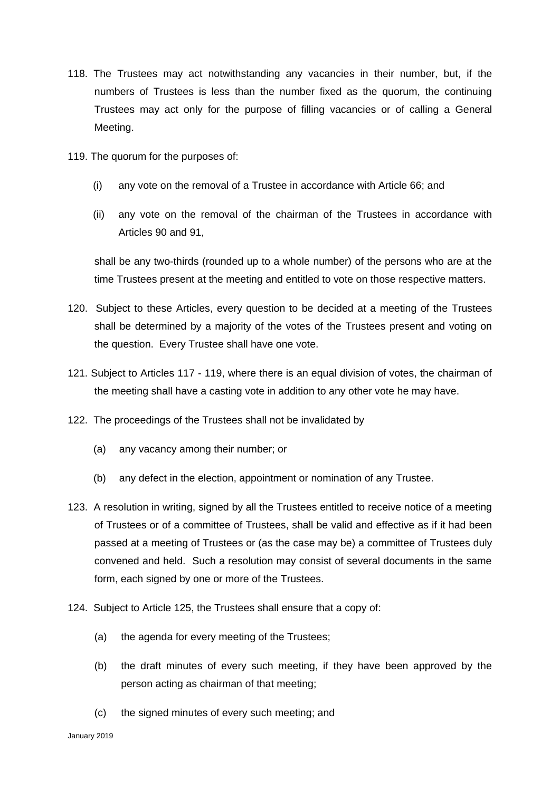- 118. The Trustees may act notwithstanding any vacancies in their number, but, if the numbers of Trustees is less than the number fixed as the quorum, the continuing Trustees may act only for the purpose of filling vacancies or of calling a General Meeting.
- 119. The quorum for the purposes of:
	- (i) any vote on the removal of a Trustee in accordance with Article 66; and
	- (ii) any vote on the removal of the chairman of the Trustees in accordance with Articles 90 and 91,

shall be any two-thirds (rounded up to a whole number) of the persons who are at the time Trustees present at the meeting and entitled to vote on those respective matters.

- 120. Subject to these Articles, every question to be decided at a meeting of the Trustees shall be determined by a majority of the votes of the Trustees present and voting on the question. Every Trustee shall have one vote.
- 121. Subject to Articles 117 119, where there is an equal division of votes, the chairman of the meeting shall have a casting vote in addition to any other vote he may have.
- 122. The proceedings of the Trustees shall not be invalidated by
	- (a) any vacancy among their number; or
	- (b) any defect in the election, appointment or nomination of any Trustee.
- 123. A resolution in writing, signed by all the Trustees entitled to receive notice of a meeting of Trustees or of a committee of Trustees, shall be valid and effective as if it had been passed at a meeting of Trustees or (as the case may be) a committee of Trustees duly convened and held. Such a resolution may consist of several documents in the same form, each signed by one or more of the Trustees.
- 124. Subject to Article 125, the Trustees shall ensure that a copy of:
	- (a) the agenda for every meeting of the Trustees;
	- (b) the draft minutes of every such meeting, if they have been approved by the person acting as chairman of that meeting;
	- (c) the signed minutes of every such meeting; and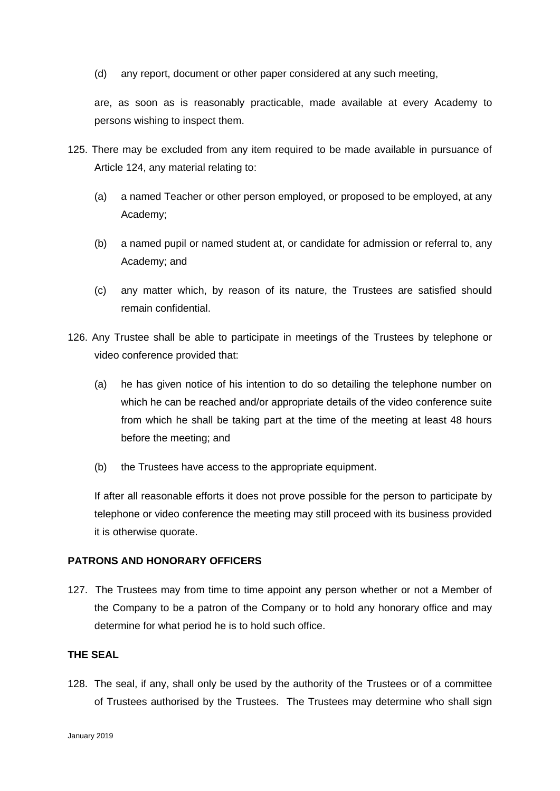(d) any report, document or other paper considered at any such meeting,

are, as soon as is reasonably practicable, made available at every Academy to persons wishing to inspect them.

- 125. There may be excluded from any item required to be made available in pursuance of Article 124, any material relating to:
	- (a) a named Teacher or other person employed, or proposed to be employed, at any Academy;
	- (b) a named pupil or named student at, or candidate for admission or referral to, any Academy; and
	- (c) any matter which, by reason of its nature, the Trustees are satisfied should remain confidential.
- 126. Any Trustee shall be able to participate in meetings of the Trustees by telephone or video conference provided that:
	- (a) he has given notice of his intention to do so detailing the telephone number on which he can be reached and/or appropriate details of the video conference suite from which he shall be taking part at the time of the meeting at least 48 hours before the meeting; and
	- (b) the Trustees have access to the appropriate equipment.

If after all reasonable efforts it does not prove possible for the person to participate by telephone or video conference the meeting may still proceed with its business provided it is otherwise quorate.

# **PATRONS AND HONORARY OFFICERS**

127. The Trustees may from time to time appoint any person whether or not a Member of the Company to be a patron of the Company or to hold any honorary office and may determine for what period he is to hold such office.

# **THE SEAL**

128. The seal, if any, shall only be used by the authority of the Trustees or of a committee of Trustees authorised by the Trustees. The Trustees may determine who shall sign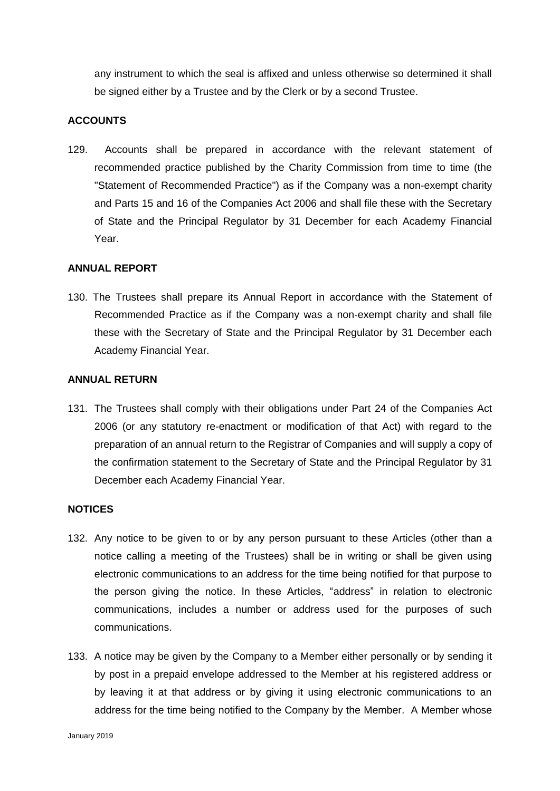any instrument to which the seal is affixed and unless otherwise so determined it shall be signed either by a Trustee and by the Clerk or by a second Trustee.

# **ACCOUNTS**

129. Accounts shall be prepared in accordance with the relevant statement of recommended practice published by the Charity Commission from time to time (the "Statement of Recommended Practice") as if the Company was a non-exempt charity and Parts 15 and 16 of the Companies Act 2006 and shall file these with the Secretary of State and the Principal Regulator by 31 December for each Academy Financial Year.

## **ANNUAL REPORT**

130. The Trustees shall prepare its Annual Report in accordance with the Statement of Recommended Practice as if the Company was a non-exempt charity and shall file these with the Secretary of State and the Principal Regulator by 31 December each Academy Financial Year.

#### **ANNUAL RETURN**

131. The Trustees shall comply with their obligations under Part 24 of the Companies Act 2006 (or any statutory re-enactment or modification of that Act) with regard to the preparation of an annual return to the Registrar of Companies and will supply a copy of the confirmation statement to the Secretary of State and the Principal Regulator by 31 December each Academy Financial Year.

## **NOTICES**

- 132. Any notice to be given to or by any person pursuant to these Articles (other than a notice calling a meeting of the Trustees) shall be in writing or shall be given using electronic communications to an address for the time being notified for that purpose to the person giving the notice. In these Articles, "address" in relation to electronic communications, includes a number or address used for the purposes of such communications.
- 133. A notice may be given by the Company to a Member either personally or by sending it by post in a prepaid envelope addressed to the Member at his registered address or by leaving it at that address or by giving it using electronic communications to an address for the time being notified to the Company by the Member. A Member whose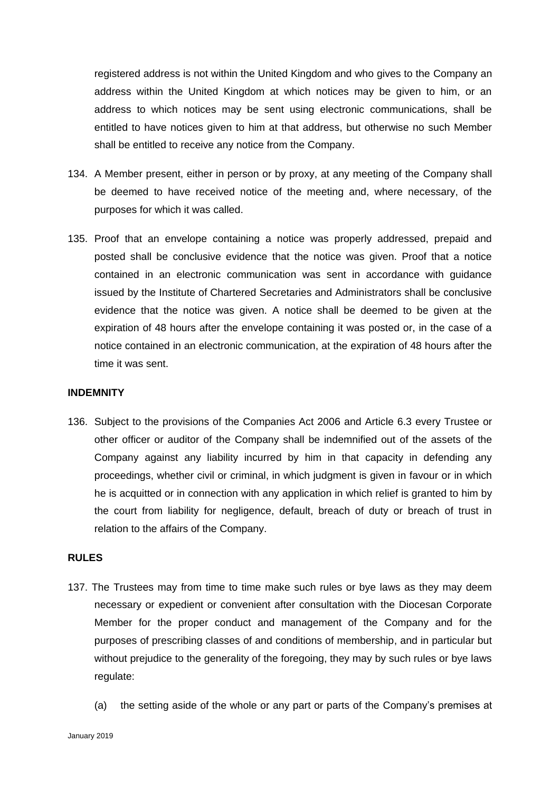registered address is not within the United Kingdom and who gives to the Company an address within the United Kingdom at which notices may be given to him, or an address to which notices may be sent using electronic communications, shall be entitled to have notices given to him at that address, but otherwise no such Member shall be entitled to receive any notice from the Company.

- 134. A Member present, either in person or by proxy, at any meeting of the Company shall be deemed to have received notice of the meeting and, where necessary, of the purposes for which it was called.
- 135. Proof that an envelope containing a notice was properly addressed, prepaid and posted shall be conclusive evidence that the notice was given. Proof that a notice contained in an electronic communication was sent in accordance with guidance issued by the Institute of Chartered Secretaries and Administrators shall be conclusive evidence that the notice was given. A notice shall be deemed to be given at the expiration of 48 hours after the envelope containing it was posted or, in the case of a notice contained in an electronic communication, at the expiration of 48 hours after the time it was sent.

#### **INDEMNITY**

136. Subject to the provisions of the Companies Act 2006 and Article 6.3 every Trustee or other officer or auditor of the Company shall be indemnified out of the assets of the Company against any liability incurred by him in that capacity in defending any proceedings, whether civil or criminal, in which judgment is given in favour or in which he is acquitted or in connection with any application in which relief is granted to him by the court from liability for negligence, default, breach of duty or breach of trust in relation to the affairs of the Company.

#### **RULES**

- 137. The Trustees may from time to time make such rules or bye laws as they may deem necessary or expedient or convenient after consultation with the Diocesan Corporate Member for the proper conduct and management of the Company and for the purposes of prescribing classes of and conditions of membership, and in particular but without prejudice to the generality of the foregoing, they may by such rules or bye laws regulate:
	- (a) the setting aside of the whole or any part or parts of the Company's premises at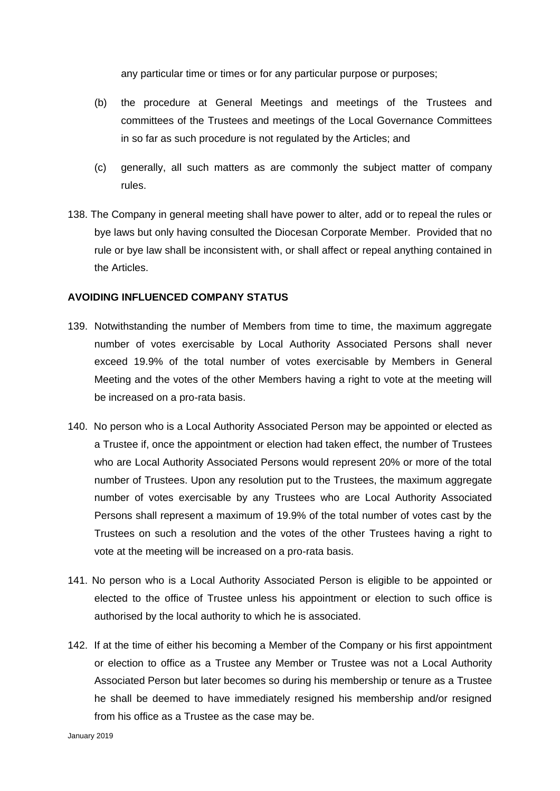any particular time or times or for any particular purpose or purposes;

- (b) the procedure at General Meetings and meetings of the Trustees and committees of the Trustees and meetings of the Local Governance Committees in so far as such procedure is not regulated by the Articles; and
- (c) generally, all such matters as are commonly the subject matter of company rules.
- 138. The Company in general meeting shall have power to alter, add or to repeal the rules or bye laws but only having consulted the Diocesan Corporate Member. Provided that no rule or bye law shall be inconsistent with, or shall affect or repeal anything contained in the Articles.

# **AVOIDING INFLUENCED COMPANY STATUS**

- 139. Notwithstanding the number of Members from time to time, the maximum aggregate number of votes exercisable by Local Authority Associated Persons shall never exceed 19.9% of the total number of votes exercisable by Members in General Meeting and the votes of the other Members having a right to vote at the meeting will be increased on a pro-rata basis.
- 140. No person who is a Local Authority Associated Person may be appointed or elected as a Trustee if, once the appointment or election had taken effect, the number of Trustees who are Local Authority Associated Persons would represent 20% or more of the total number of Trustees. Upon any resolution put to the Trustees, the maximum aggregate number of votes exercisable by any Trustees who are Local Authority Associated Persons shall represent a maximum of 19.9% of the total number of votes cast by the Trustees on such a resolution and the votes of the other Trustees having a right to vote at the meeting will be increased on a pro-rata basis.
- 141. No person who is a Local Authority Associated Person is eligible to be appointed or elected to the office of Trustee unless his appointment or election to such office is authorised by the local authority to which he is associated.
- 142. If at the time of either his becoming a Member of the Company or his first appointment or election to office as a Trustee any Member or Trustee was not a Local Authority Associated Person but later becomes so during his membership or tenure as a Trustee he shall be deemed to have immediately resigned his membership and/or resigned from his office as a Trustee as the case may be.